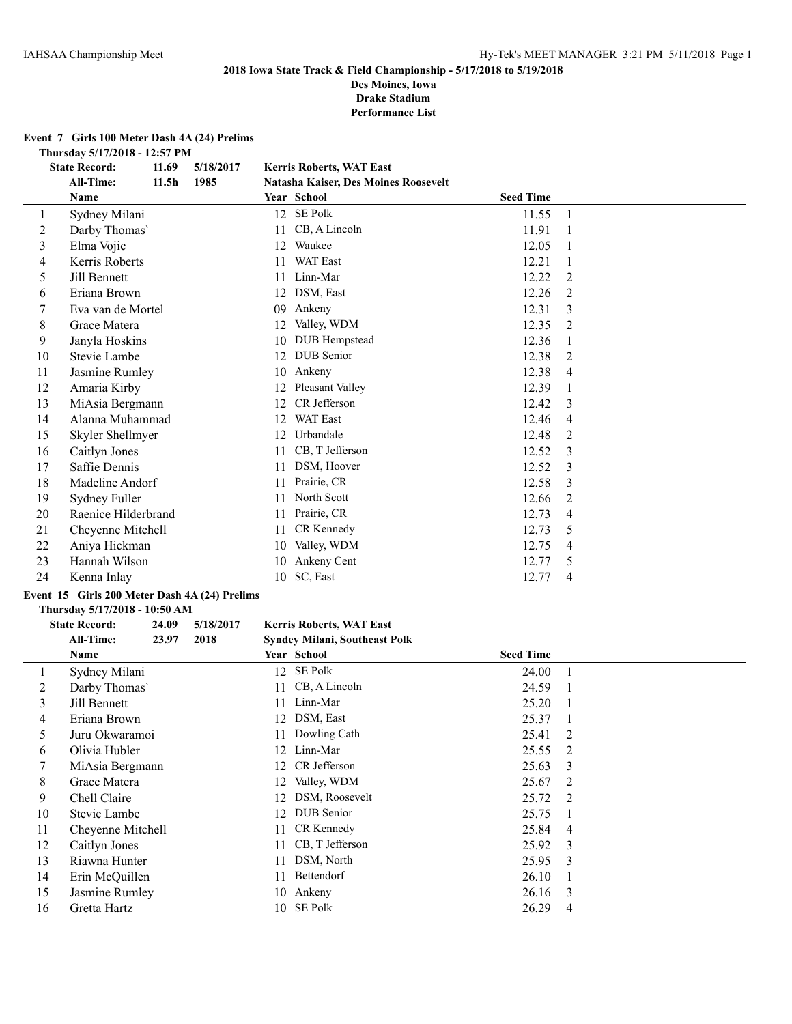#### **2018 Iowa State Track & Field Championship - 5/17/2018 to 5/19/2018 Des Moines, Iowa**

**Drake Stadium**

**Performance List**

### **Event 7 Girls 100 Meter Dash 4A (24) Prelims**

**Thursday 5/17/2018 - 12:57 PM**<br> **State Record:** 11.69 5/18/2017

|        | 11.69<br>5/18/2017<br><b>State Record:</b> |                   |      |    | <b>Kerris Roberts, WAT East</b>      |                  |                |
|--------|--------------------------------------------|-------------------|------|----|--------------------------------------|------------------|----------------|
|        | All-Time:                                  | 11.5 <sub>h</sub> | 1985 |    | Natasha Kaiser, Des Moines Roosevelt |                  |                |
|        | Name                                       |                   |      |    | Year School                          | <b>Seed Time</b> |                |
| 1      | Sydney Milani                              |                   |      | 12 | SE Polk                              | 11.55            | 1              |
| 2      | Darby Thomas'                              |                   |      | 11 | CB, A Lincoln                        | 11.91            |                |
| 3      | Elma Vojic                                 |                   |      | 12 | Waukee                               | 12.05            |                |
| 4      | Kerris Roberts                             |                   |      | 11 | <b>WAT East</b>                      | 12.21            | 1              |
| 5      | Jill Bennett                               |                   |      | 11 | Linn-Mar                             | 12.22            | 2              |
| 6      | Eriana Brown                               |                   |      | 12 | DSM, East                            | 12.26            | 2              |
| $\tau$ | Eva van de Mortel                          |                   |      | 09 | Ankeny                               | 12.31            | 3              |
| 8      | Grace Matera                               |                   |      | 12 | Valley, WDM                          | 12.35            | $\overline{2}$ |
| 9      | Janyla Hoskins                             |                   |      | 10 | <b>DUB</b> Hempstead                 | 12.36            |                |
| 10     | Stevie Lambe                               |                   |      | 12 | <b>DUB</b> Senior                    | 12.38            | 2              |
| 11     | Jasmine Rumley                             |                   |      | 10 | Ankeny                               | 12.38            | 4              |
| 12     | Amaria Kirby                               |                   |      | 12 | Pleasant Valley                      | 12.39            | 1              |
| 13     | MiAsia Bergmann                            |                   |      | 12 | CR Jefferson                         | 12.42            | 3              |
| 14     | Alanna Muhammad                            |                   |      | 12 | WAT East                             | 12.46            | $\overline{4}$ |
| 15     | Skyler Shellmyer                           |                   |      | 12 | Urbandale                            | 12.48            | 2              |
| 16     | Caitlyn Jones                              |                   |      | 11 | CB, T Jefferson                      | 12.52            | 3              |
| 17     | Saffie Dennis                              |                   |      | 11 | DSM, Hoover                          | 12.52            | 3              |
| 18     | Madeline Andorf                            |                   |      | 11 | Prairie, CR                          | 12.58            | 3              |
| 19     | Sydney Fuller                              |                   |      | 11 | North Scott                          | 12.66            | 2              |
| 20     | Raenice Hilderbrand                        |                   |      | 11 | Prairie, CR                          | 12.73            | 4              |
| 21     | Cheyenne Mitchell                          |                   |      | 11 | CR Kennedy                           | 12.73            | 5              |
| 22     | Aniya Hickman                              |                   |      | 10 | Valley, WDM                          | 12.75            | 4              |
| 23     | Hannah Wilson                              |                   |      | 10 | Ankeny Cent                          | 12.77            | 5              |
| 24     | Kenna Inlay                                |                   |      | 10 | SC, East                             | 12.77            | 4              |
|        |                                            |                   |      |    |                                      |                  |                |

# **Event 15 Girls 200 Meter Dash 4A (24) Prelims**

#### **Thursday 5/17/2018 - 10:50 AM**

 $\overline{\phantom{a}}$ 

# **State Record: 24.09 5/18/2017 Kerris Roberts, WAT East All-Time: 23.97 2018 Syndey Milani, Southeast Polk**

|              | Name              |    | Year School        | <b>Seed Time</b> |                |
|--------------|-------------------|----|--------------------|------------------|----------------|
| $\mathbf{I}$ | Sydney Milani     |    | 12 SE Polk         | 24.00            | $\blacksquare$ |
| 2            | Darby Thomas'     |    | 11 CB, A Lincoln   | 24.59            |                |
| 3            | Jill Bennett      |    | 11 Linn-Mar        | 25.20            |                |
| 4            | Eriana Brown      |    | 12 DSM, East       | 25.37            | $\blacksquare$ |
| 5            | Juru Okwaramoi    | 11 | Dowling Cath       | 25.41            | -2             |
| 6            | Olivia Hubler     |    | 12 Linn-Mar        | 25.55            | - 2            |
|              | MiAsia Bergmann   |    | 12 CR Jefferson    | 25.63            | -3             |
| 8            | Grace Matera      |    | 12 Valley, WDM     | 25.67            | -2             |
| 9            | Chell Claire      |    | 12 DSM, Roosevelt  | 25.72            | $\overline{2}$ |
| 10           | Stevie Lambe      |    | 12 DUB Senior      | 25.75            | $\blacksquare$ |
| 11           | Cheyenne Mitchell |    | 11 CR Kennedy      | 25.84            | -4             |
| 12           | Caitlyn Jones     |    | 11 CB, T Jefferson | 25.92            | $\mathcal{E}$  |
| 13           | Riawna Hunter     | 11 | DSM, North         | 25.95            | $\mathbf{3}$   |
| 14           | Erin McQuillen    | 11 | Bettendorf         | 26.10            |                |
| 15           | Jasmine Rumley    |    | 10 Ankeny          | 26.16            | -3             |
| 16           | Gretta Hartz      |    | 10 SE Polk         | 26.29            | $\overline{4}$ |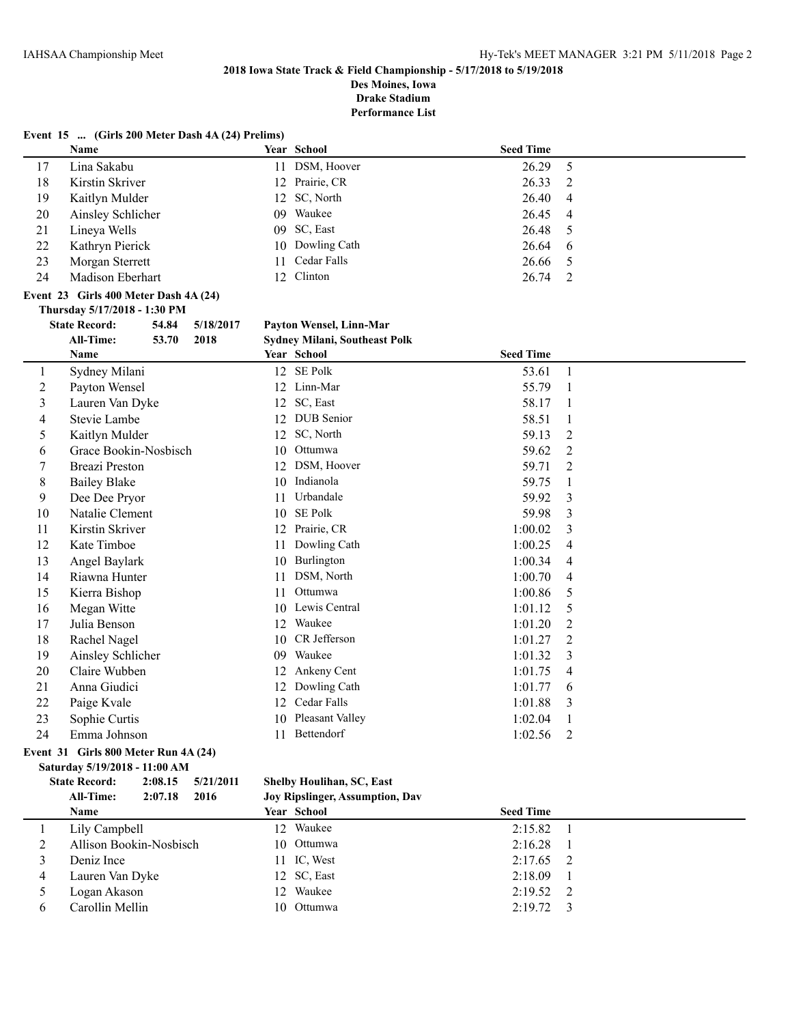**Des Moines, Iowa Drake Stadium**

|                | Event 15  (Girls 200 Meter Dash 4A (24) Prelims) |         |           |    |                                      |                  |                |
|----------------|--------------------------------------------------|---------|-----------|----|--------------------------------------|------------------|----------------|
|                | Name                                             |         |           |    | Year School                          | <b>Seed Time</b> |                |
| 17             | Lina Sakabu                                      |         |           |    | 11 DSM, Hoover                       | 26.29            | 5              |
| 18             | Kirstin Skriver                                  |         |           |    | 12 Prairie, CR                       | 26.33            | $\overline{c}$ |
| 19             | Kaitlyn Mulder                                   |         |           |    | 12 SC, North                         | 26.40            | $\overline{4}$ |
| 20             | Ainsley Schlicher                                |         |           |    | 09 Waukee                            | 26.45            | $\overline{4}$ |
| 21             | Lineya Wells                                     |         |           |    | 09 SC, East                          | 26.48            | 5              |
| 22             | Kathryn Pierick                                  |         |           |    | 10 Dowling Cath                      | 26.64            | 6              |
| 23             | Morgan Sterrett                                  |         |           | 11 | Cedar Falls                          | 26.66            | 5              |
| 24             | Madison Eberhart                                 |         |           | 12 | Clinton                              | 26.74            | $\overline{2}$ |
|                | Event 23 Girls 400 Meter Dash 4A (24)            |         |           |    |                                      |                  |                |
|                | Thursday 5/17/2018 - 1:30 PM                     |         |           |    |                                      |                  |                |
|                | <b>State Record:</b>                             | 54.84   | 5/18/2017 |    | Payton Wensel, Linn-Mar              |                  |                |
|                | <b>All-Time:</b>                                 | 53.70   | 2018      |    | <b>Sydney Milani, Southeast Polk</b> |                  |                |
|                | Name                                             |         |           |    | Year School                          | <b>Seed Time</b> |                |
| 1              | Sydney Milani                                    |         |           |    | 12 SE Polk                           | 53.61            | $\mathbf{1}$   |
| $\overline{2}$ | Payton Wensel                                    |         |           |    | 12 Linn-Mar                          | 55.79            | $\mathbf{1}$   |
| 3              | Lauren Van Dyke                                  |         |           |    | 12 SC, East                          | 58.17            | 1              |
| 4              | Stevie Lambe                                     |         |           |    | 12 DUB Senior                        | 58.51            | $\mathbf{1}$   |
| 5              | Kaitlyn Mulder                                   |         |           |    | 12 SC, North                         | 59.13            | $\overline{2}$ |
| 6              | Grace Bookin-Nosbisch                            |         |           |    | 10 Ottumwa                           | 59.62            | $\overline{2}$ |
| 7              | <b>Breazi Preston</b>                            |         |           |    | 12 DSM, Hoover                       | 59.71            | 2              |
| 8              | <b>Bailey Blake</b>                              |         |           |    | 10 Indianola                         | 59.75            | $\mathbf{1}$   |
| 9              | Dee Dee Pryor                                    |         |           | 11 | Urbandale                            | 59.92            | 3              |
| 10             | Natalie Clement                                  |         |           |    | 10 SE Polk                           | 59.98            | 3              |
| 11             | Kirstin Skriver                                  |         |           |    | 12 Prairie, CR                       | 1:00.02          | 3              |
| 12             | Kate Timboe                                      |         |           | 11 | Dowling Cath                         | 1:00.25          | 4              |
| 13             | Angel Baylark                                    |         |           |    | 10 Burlington                        | 1:00.34          | 4              |
| 14             | Riawna Hunter                                    |         |           |    | 11 DSM, North                        | 1:00.70          | $\overline{4}$ |
| 15             | Kierra Bishop                                    |         |           | 11 | Ottumwa                              | 1:00.86          | 5              |
| 16             | Megan Witte                                      |         |           |    | 10 Lewis Central                     | 1:01.12          | 5              |
| 17             | Julia Benson                                     |         |           |    | 12 Waukee                            | 1:01.20          | $\overline{2}$ |
| 18             | Rachel Nagel                                     |         |           |    | 10 CR Jefferson                      | 1:01.27          | $\overline{2}$ |
| 19             | Ainsley Schlicher                                |         |           |    | 09 Waukee                            | 1:01.32          | 3              |
| 20             | Claire Wubben                                    |         |           | 12 | Ankeny Cent                          | 1:01.75          | 4              |
| 21             | Anna Giudici                                     |         |           |    | 12 Dowling Cath                      | 1:01.77          | 6              |
| 22             | Paige Kvale                                      |         |           | 12 | Cedar Falls                          | 1:01.88          | 3              |
| 23             | Sophie Curtis                                    |         |           |    | 10 Pleasant Valley                   | 1:02.04          | $\mathbf{1}$   |
| 24             | Emma Johnson                                     |         |           |    | 11 Bettendorf                        | 1:02.56          | $\overline{2}$ |
|                | Event 31 Girls 800 Meter Run 4A (24)             |         |           |    |                                      |                  |                |
|                | Saturday 5/19/2018 - 11:00 AM                    |         |           |    |                                      |                  |                |
|                | <b>State Record:</b>                             | 2:08.15 | 5/21/2011 |    | Shelby Houlihan, SC, East            |                  |                |
|                | All-Time:                                        | 2:07.18 | 2016      |    | Joy Ripslinger, Assumption, Dav      |                  |                |

| <b>Name</b>             | Year School | <b>Seed Time</b>  |  |
|-------------------------|-------------|-------------------|--|
| Lily Campbell           | 12 Waukee   | $2:15.82 \quad 1$ |  |
| Allison Bookin-Nosbisch | 10 Ottumwa  | $2:16.28$ 1       |  |
| Deniz Ince              | 11 IC, West | $2:17.65$ 2       |  |
| Lauren Van Dyke         | 12 SC, East | 2:18.09           |  |
| Logan Akason            | 12 Waukee   | $2:19.52 \quad 2$ |  |
| Carollin Mellin         | 10 Ottumwa  | $2:19.72 \quad 3$ |  |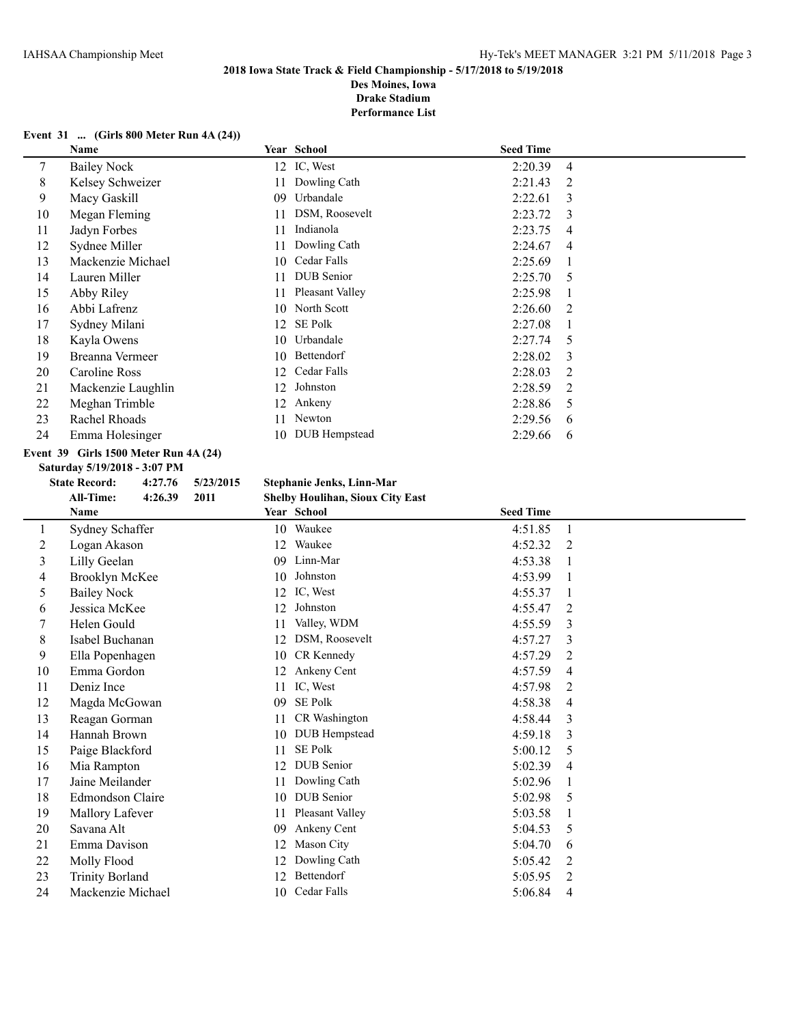**Des Moines, Iowa Drake Stadium**

**Performance List**

### **Event 31 ... (Girls 800 Meter Run 4A (24))**

|    | Name               |     | Year School     | <b>Seed Time</b> |                |
|----|--------------------|-----|-----------------|------------------|----------------|
| 7  | <b>Bailey Nock</b> |     | 12 IC, West     | 2:20.39          | $\overline{4}$ |
| 8  | Kelsey Schweizer   | 11  | Dowling Cath    | 2:21.43          | 2              |
| 9  | Macy Gaskill       | 09  | Urbandale       | 2:22.61          | 3              |
| 10 | Megan Fleming      | 11  | DSM, Roosevelt  | 2:23.72          | $\mathcal{F}$  |
| 11 | Jadyn Forbes       | 11  | Indianola       | 2:23.75          | 4              |
| 12 | Sydnee Miller      | 11  | Dowling Cath    | 2:24.67          | $\overline{4}$ |
| 13 | Mackenzie Michael  | 10  | Cedar Falls     | 2:25.69          |                |
| 14 | Lauren Miller      | 11  | DUB Senior      | 2:25.70          | .5             |
| 15 | Abby Riley         | 11  | Pleasant Valley | 2:25.98          |                |
| 16 | Abbi Lafrenz       | 10  | North Scott     | 2:26.60          | $\mathfrak{D}$ |
| 17 | Sydney Milani      | 12. | <b>SE Polk</b>  | 2:27.08          |                |
| 18 | Kayla Owens        | 10  | Urbandale       | 2:27.74          | -5             |
| 19 | Breanna Vermeer    | 10  | Bettendorf      | 2:28.02          | $\mathcal{E}$  |
| 20 | Caroline Ross      | 12  | Cedar Falls     | 2:28.03          | $\mathfrak{D}$ |
| 21 | Mackenzie Laughlin | 12  | Johnston        | 2:28.59          | 2              |
| 22 | Meghan Trimble     | 12  | Ankeny          | 2:28.86          | .5             |
| 23 | Rachel Rhoads      | 11  | Newton          | 2:29.56          | 6              |
| 24 | Emma Holesinger    | 10  | DUB Hempstead   | 2:29.66          | 6              |
|    |                    |     |                 |                  |                |

### **Event 39 Girls 1500 Meter Run 4A (24)**

**Saturday 5/19/2018 - 3:07 PM**

# **State Record: 4:27.76 5/23/2015 Stephanie Jenks, Linn-Mar**

|    | <b>All-Time:</b><br>2011<br>4:26.39 | <b>Shelby Houlihan, Sioux City East</b> |                  |
|----|-------------------------------------|-----------------------------------------|------------------|
|    | Name                                | Year School                             | <b>Seed Time</b> |
| 1  | Sydney Schaffer                     | Waukee<br>10                            | 4:51.85<br>1     |
| 2  | Logan Akason                        | Waukee<br>12                            | 4:52.32<br>2     |
| 3  | Lilly Geelan                        | Linn-Mar<br>09                          | 4:53.38          |
| 4  | Brooklyn McKee                      | Johnston<br>10                          | 4:53.99          |
| 5  | <b>Bailey Nock</b>                  | IC, West<br>12                          | 4:55.37          |
| 6  | Jessica McKee                       | Johnston<br>12                          | 4:55.47<br>2     |
|    | Helen Gould                         | Valley, WDM<br>11                       | 4:55.59<br>3     |
| 8  | Isabel Buchanan                     | DSM, Roosevelt<br>12                    | 4:57.27<br>3     |
| 9  | Ella Popenhagen                     | CR Kennedy<br>10                        | 4:57.29<br>2     |
| 10 | Emma Gordon                         | Ankeny Cent<br>12                       | 4:57.59<br>4     |
| 11 | Deniz Ince                          | IC, West<br>11                          | 4:57.98<br>2     |
| 12 | Magda McGowan                       | <b>SE Polk</b><br>09                    | 4:58.38<br>4     |
| 13 | Reagan Gorman                       | CR Washington<br>11                     | 4:58.44<br>3     |
| 14 | Hannah Brown                        | DUB Hempstead<br>10                     | 4:59.18<br>3     |
| 15 | Paige Blackford                     | <b>SE Polk</b><br>11                    | 5:00.12<br>5     |
| 16 | Mia Rampton                         | <b>DUB</b> Senior<br>12                 | 5:02.39<br>4     |
| 17 | Jaine Meilander                     | Dowling Cath<br>11                      | 5:02.96          |
| 18 | <b>Edmondson Claire</b>             | <b>DUB</b> Senior<br>10                 | 5:02.98<br>5     |
| 19 | Mallory Lafever                     | Pleasant Valley<br>11                   | 5:03.58          |
| 20 | Savana Alt                          | Ankeny Cent<br>09                       | 5:04.53<br>5     |
| 21 | Emma Davison                        | Mason City<br>12                        | 5:04.70<br>6     |
| 22 | Molly Flood                         | Dowling Cath<br>12                      | 5:05.42<br>2     |
| 23 | <b>Trinity Borland</b>              | Bettendorf<br>12                        | 5:05.95<br>2     |
| 24 | Mackenzie Michael                   | Cedar Falls<br>10                       | 5:06.84<br>4     |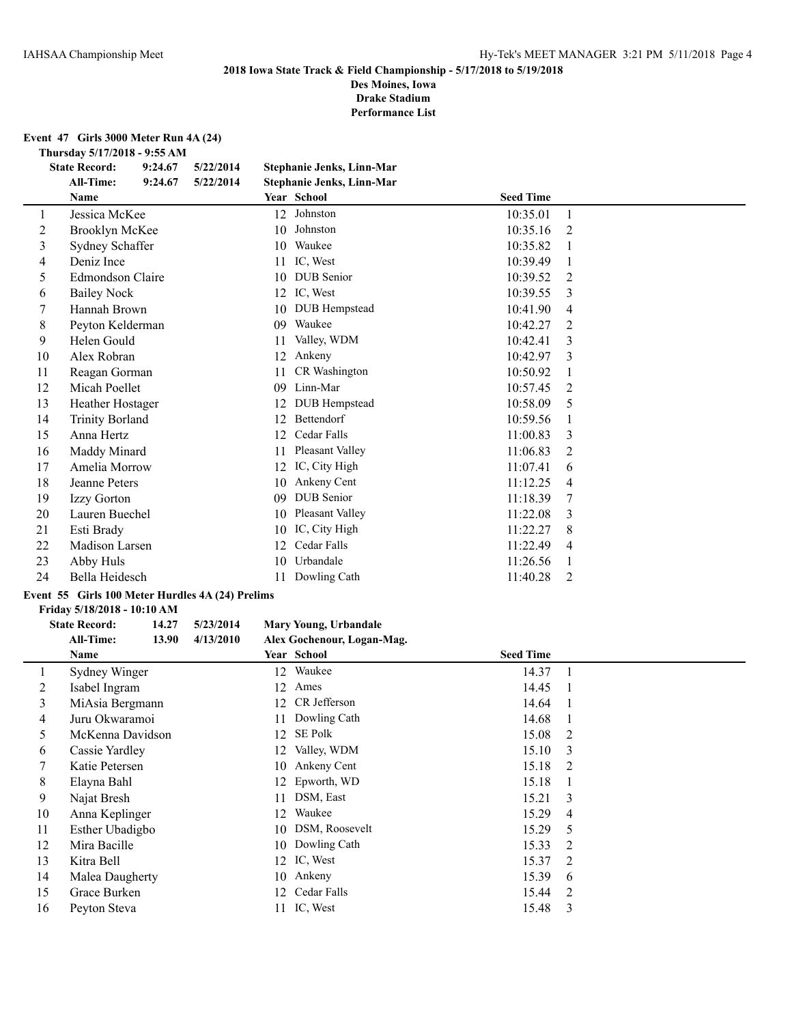**Des Moines, Iowa Drake Stadium**

**Performance List**

**Event 47 Girls 3000 Meter Run 4A (24)**

**Thursday 5/17/2018 - 9:55 AM**

|    | <b>State Record:</b>   | 9:24.67 | 5/22/2014 |    | Stephanie Jenks, Linn-Mar |                  |                |  |
|----|------------------------|---------|-----------|----|---------------------------|------------------|----------------|--|
|    | <b>All-Time:</b>       | 9:24.67 | 5/22/2014 |    | Stephanie Jenks, Linn-Mar |                  |                |  |
|    | Name                   |         |           |    | Year School               | <b>Seed Time</b> |                |  |
| 1  | Jessica McKee          |         |           | 12 | Johnston                  | 10:35.01         | 1              |  |
| 2  | Brooklyn McKee         |         |           | 10 | Johnston                  | 10:35.16         | 2              |  |
| 3  | Sydney Schaffer        |         |           | 10 | Waukee                    | 10:35.82         |                |  |
| 4  | Deniz Ince             |         |           | 11 | IC, West                  | 10:39.49         |                |  |
| 5  | Edmondson Claire       |         |           | 10 | <b>DUB</b> Senior         | 10:39.52         | 2              |  |
| 6  | <b>Bailey Nock</b>     |         |           | 12 | IC, West                  | 10:39.55         | 3              |  |
| 7  | Hannah Brown           |         |           | 10 | DUB Hempstead             | 10:41.90         | 4              |  |
| 8  | Peyton Kelderman       |         |           | 09 | Waukee                    | 10:42.27         | 2              |  |
| 9  | Helen Gould            |         |           | 11 | Valley, WDM               | 10:42.41         | 3              |  |
| 10 | Alex Robran            |         |           | 12 | Ankeny                    | 10:42.97         | 3              |  |
| 11 | Reagan Gorman          |         |           | 11 | CR Washington             | 10:50.92         | 1              |  |
| 12 | Micah Poellet          |         |           | 09 | Linn-Mar                  | 10:57.45         | 2              |  |
| 13 | Heather Hostager       |         |           | 12 | DUB Hempstead             | 10:58.09         | 5              |  |
| 14 | <b>Trinity Borland</b> |         |           | 12 | Bettendorf                | 10:59.56         | 1              |  |
| 15 | Anna Hertz             |         |           | 12 | Cedar Falls               | 11:00.83         | 3              |  |
| 16 | Maddy Minard           |         |           | 11 | Pleasant Valley           | 11:06.83         | 2              |  |
| 17 | Amelia Morrow          |         |           | 12 | IC, City High             | 11:07.41         | 6              |  |
| 18 | Jeanne Peters          |         |           | 10 | Ankeny Cent               | 11:12.25         | 4              |  |
| 19 | Izzy Gorton            |         |           | 09 | <b>DUB</b> Senior         | 11:18.39         | 7              |  |
| 20 | Lauren Buechel         |         |           | 10 | Pleasant Valley           | 11:22.08         | 3              |  |
| 21 | Esti Brady             |         |           | 10 | IC, City High             | 11:22.27         | 8              |  |
| 22 | Madison Larsen         |         |           | 12 | Cedar Falls               | 11:22.49         | $\overline{4}$ |  |
| 23 | Abby Huls              |         |           | 10 | Urbandale                 | 11:26.56         | 1              |  |
| 24 | Bella Heidesch         |         |           | 11 | Dowling Cath              | 11:40.28         | 2              |  |
|    |                        |         |           |    |                           |                  |                |  |

## **Event 55 Girls 100 Meter Hurdles 4A (24) Prelims**

#### **Friday 5/18/2018 - 10:10 AM**

 $\overline{\phantom{0}}$ 

| <b>State Record:</b> | 14.27 | 5/23/2014 | Mary Young, Urbandale      |
|----------------------|-------|-----------|----------------------------|
| All-Time:            | 13.90 | 4/13/2010 | Alex Gochenour, Logan-Mag. |

|    | Name             |    | Year School       | <b>Seed Time</b> |                          |
|----|------------------|----|-------------------|------------------|--------------------------|
|    | Sydney Winger    |    | 12 Waukee         | 14.37            | $\overline{\phantom{a}}$ |
| 2  | Isabel Ingram    |    | 12 Ames           | 14.45            | $\mathbf{1}$             |
| 3  | MiAsia Bergmann  |    | 12 CR Jefferson   | 14.64            | $\overline{1}$           |
| 4  | Juru Okwaramoi   | 11 | Dowling Cath      | 14.68            |                          |
| 5  | McKenna Davidson | 12 | SE Polk           | 15.08            | 2                        |
| 6  | Cassie Yardley   |    | 12 Valley, WDM    | 15.10            | 3                        |
|    | Katie Petersen   |    | 10 Ankeny Cent    | 15.18            | 2                        |
| 8  | Elayna Bahl      |    | 12 Epworth, WD    | 15.18            |                          |
| 9  | Najat Bresh      | 11 | DSM, East         | 15.21            | 3                        |
| 10 | Anna Keplinger   | 12 | Waukee            | 15.29            | 4                        |
| 11 | Esther Ubadigbo  |    | 10 DSM, Roosevelt | 15.29            | 5                        |
| 12 | Mira Bacille     |    | 10 Dowling Cath   | 15.33            | -2                       |
| 13 | Kitra Bell       |    | 12 IC, West       | 15.37            | - 2                      |
| 14 | Malea Daugherty  |    | 10 Ankeny         | 15.39            | 6                        |
| 15 | Grace Burken     | 12 | Cedar Falls       | 15.44            | $\overline{2}$           |
| 16 | Peyton Steva     |    | 11 IC, West       | 15.48            | 3                        |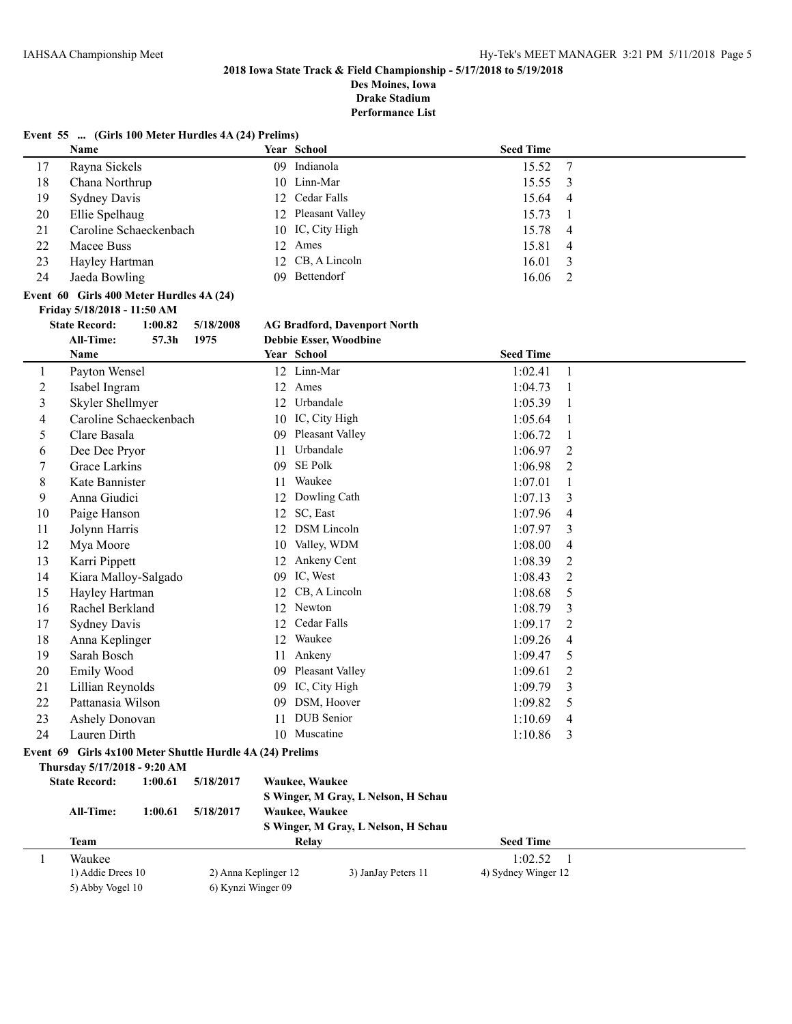**Des Moines, Iowa Drake Stadium**

|    | Event 55  (Girls 100 Meter Hurdles 4A (24) Prelims) |           |                                                 |                      |                         |
|----|-----------------------------------------------------|-----------|-------------------------------------------------|----------------------|-------------------------|
|    | <b>Name</b>                                         |           | Year School                                     | <b>Seed Time</b>     |                         |
| 17 | Rayna Sickels                                       |           | 09 Indianola                                    | 15.52                | $\overline{7}$          |
| 18 | Chana Northrup                                      |           | 10 Linn-Mar                                     | 15.55 3              |                         |
| 19 | <b>Sydney Davis</b>                                 |           | 12 Cedar Falls                                  | 15.64 4              |                         |
| 20 | Ellie Spelhaug                                      |           | 12 Pleasant Valley                              | 15.73                |                         |
| 21 | Caroline Schaeckenbach                              |           | 10 IC, City High                                | 15.78 4              |                         |
| 22 | Macee Buss                                          |           | 12 Ames                                         | 15.81                | $\overline{4}$          |
| 23 | Hayley Hartman                                      |           | 12 CB, A Lincoln                                | 16.01                | $\overline{\mathbf{3}}$ |
| 24 | Jaeda Bowling                                       |           | 09 Bettendorf                                   | $16.06 \quad 2$      |                         |
|    | Event 60 Girls 400 Meter Hurdles 4A (24)            |           |                                                 |                      |                         |
|    | Friday 5/18/2018 - 11:50 AM                         |           |                                                 |                      |                         |
|    | <b>State Record:</b><br>1:00.82                     | 5/18/2008 | <b>AG Bradford, Davenport North</b>             |                      |                         |
|    | <b>All-Time:</b><br>57.3 <sub>h</sub>               | 1975      | <b>Debbie Esser, Woodbine</b>                   |                      |                         |
|    | $\blacksquare$                                      |           | $\mathbf{v}$ $\alpha$ $\mathbf{v}$ $\mathbf{v}$ | $\sim$ $\sim$ $\sim$ |                         |

|                         | Name                                                      |                      | Year School                         | <b>Seed Time</b>    |                |
|-------------------------|-----------------------------------------------------------|----------------------|-------------------------------------|---------------------|----------------|
| $\mathbf{1}$            | Payton Wensel                                             |                      | 12 Linn-Mar                         | 1:02.41             | $\mathbf{1}$   |
| $\overline{2}$          | Isabel Ingram                                             |                      | 12 Ames                             | 1:04.73             | $\overline{1}$ |
| $\overline{\mathbf{3}}$ | Skyler Shellmyer                                          |                      | Urbandale<br>12                     | 1:05.39             | 1              |
| 4                       | Caroline Schaeckenbach                                    |                      | IC, City High<br>10                 | 1:05.64             | 1              |
| 5                       | Clare Basala                                              |                      | 09 Pleasant Valley                  | 1:06.72             | 1              |
| 6                       | Dee Dee Pryor                                             |                      | Urbandale<br>11                     | 1:06.97             | 2              |
| $\overline{7}$          | Grace Larkins                                             |                      | <b>SE Polk</b><br>09                | 1:06.98             | $\overline{2}$ |
| 8                       | Kate Bannister                                            |                      | Waukee<br>11                        | 1:07.01             | 1              |
| 9                       | Anna Giudici                                              |                      | Dowling Cath<br>12                  | 1:07.13             | 3              |
| 10                      | Paige Hanson                                              |                      | SC, East<br>12                      | 1:07.96             | $\overline{4}$ |
| 11                      | Jolynn Harris                                             |                      | <b>DSM</b> Lincoln<br>12            | 1:07.97             | 3              |
| 12                      | Mya Moore                                                 |                      | 10 Valley, WDM                      | 1:08.00             | 4              |
| 13                      | Karri Pippett                                             |                      | 12 Ankeny Cent                      | 1:08.39             | 2              |
| 14                      | Kiara Malloy-Salgado                                      |                      | IC, West<br>09                      | 1:08.43             | $\overline{2}$ |
| 15                      | Hayley Hartman                                            |                      | CB, A Lincoln<br>12                 | 1:08.68             | 5              |
| 16                      | Rachel Berkland                                           |                      | 12 Newton                           | 1:08.79             | 3              |
| 17                      | <b>Sydney Davis</b>                                       |                      | Cedar Falls<br>12                   | 1:09.17             | $\overline{2}$ |
| 18                      | Anna Keplinger                                            |                      | Waukee<br>12                        | 1:09.26             | 4              |
| 19                      | Sarah Bosch                                               |                      | 11 Ankeny                           | 1:09.47             | 5              |
| 20                      | Emily Wood                                                |                      | Pleasant Valley<br>09               | 1:09.61             | 2              |
| 21                      | Lillian Reynolds                                          |                      | IC, City High<br>09                 | 1:09.79             | 3              |
| 22                      | Pattanasia Wilson                                         |                      | DSM, Hoover<br>09                   | 1:09.82             | 5              |
| 23                      | Ashely Donovan                                            |                      | DUB Senior<br>11                    | 1:10.69             | $\overline{4}$ |
| 24                      | Lauren Dirth                                              |                      | 10 Muscatine                        | 1:10.86             | 3              |
|                         | Event 69 Girls 4x100 Meter Shuttle Hurdle 4A (24) Prelims |                      |                                     |                     |                |
|                         | Thursday 5/17/2018 - 9:20 AM                              |                      |                                     |                     |                |
|                         | <b>State Record:</b><br>1:00.61                           | 5/18/2017            | Waukee, Waukee                      |                     |                |
|                         |                                                           |                      | S Winger, M Gray, L Nelson, H Schau |                     |                |
|                         | All-Time:<br>1:00.61                                      | 5/18/2017            | Waukee, Waukee                      |                     |                |
|                         |                                                           |                      | S Winger, M Gray, L Nelson, H Schau |                     |                |
|                         | <b>Team</b>                                               |                      | <b>Relay</b>                        | <b>Seed Time</b>    |                |
| $\mathbf{1}$            | Waukee                                                    |                      |                                     | 1:02.52             | $\overline{1}$ |
|                         | 1) Addie Drees 10                                         | 2) Anna Keplinger 12 | 3) JanJay Peters 11                 | 4) Sydney Winger 12 |                |
|                         | 5) Abby Vogel 10                                          | 6) Kynzi Winger 09   |                                     |                     |                |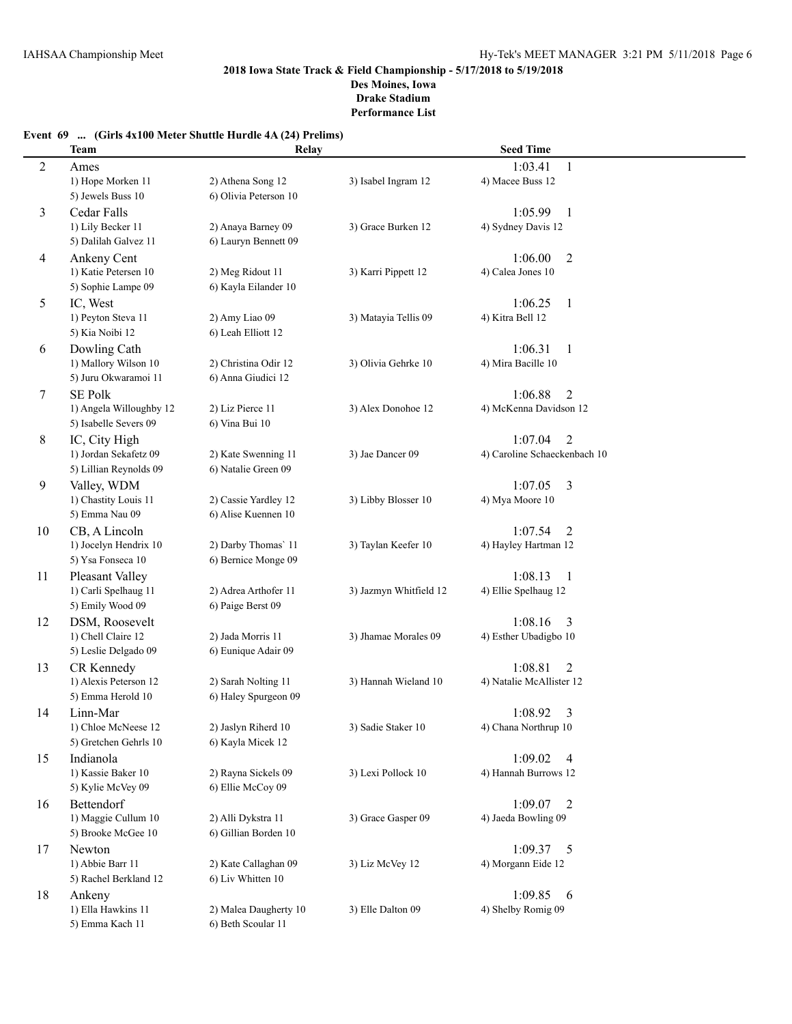## **Event 69 ... (Girls 4x100 Meter Shuttle Hurdle 4A (24) Prelims)**

|    | <b>Team</b>                            | Relay                 |                        | <b>Seed Time</b>                     |  |
|----|----------------------------------------|-----------------------|------------------------|--------------------------------------|--|
| 2  | Ames                                   |                       |                        | 1:03.41<br>1                         |  |
|    | 1) Hope Morken 11                      | 2) Athena Song 12     | 3) Isabel Ingram 12    | 4) Macee Buss 12                     |  |
|    | 5) Jewels Buss 10                      | 6) Olivia Peterson 10 |                        |                                      |  |
| 3  | Cedar Falls                            |                       |                        | 1:05.99<br>-1                        |  |
|    | 1) Lily Becker 11                      | 2) Anaya Barney 09    | 3) Grace Burken 12     | 4) Sydney Davis 12                   |  |
|    | 5) Dalilah Galvez 11                   | 6) Lauryn Bennett 09  |                        |                                      |  |
| 4  | Ankeny Cent                            |                       |                        | $\overline{2}$<br>1:06.00            |  |
|    | 1) Katie Petersen 10                   | 2) Meg Ridout 11      | 3) Karri Pippett 12    | 4) Calea Jones 10                    |  |
|    | 5) Sophie Lampe 09                     | 6) Kayla Eilander 10  |                        |                                      |  |
| 5  | IC, West                               |                       |                        | 1:06.25<br>$\mathbf{1}$              |  |
|    | 1) Peyton Steva 11                     | 2) Amy Liao 09        | 3) Matayia Tellis 09   | 4) Kitra Bell 12                     |  |
|    | 5) Kia Noibi 12                        | 6) Leah Elliott 12    |                        |                                      |  |
| 6  | Dowling Cath                           |                       |                        | 1:06.31<br>-1                        |  |
|    | 1) Mallory Wilson 10                   | 2) Christina Odir 12  | 3) Olivia Gehrke 10    | 4) Mira Bacille 10                   |  |
|    | 5) Juru Okwaramoi 11                   | 6) Anna Giudici 12    |                        |                                      |  |
| 7  | <b>SE Polk</b>                         |                       |                        | 1:06.88<br>2                         |  |
|    | 1) Angela Willoughby 12                | 2) Liz Pierce 11      | 3) Alex Donohoe 12     | 4) McKenna Davidson 12               |  |
|    | 5) Isabelle Severs 09                  | 6) Vina Bui 10        |                        |                                      |  |
| 8  | IC, City High                          |                       |                        | 1:07.04<br>2                         |  |
|    | 1) Jordan Sekafetz 09                  | 2) Kate Swenning 11   | 3) Jae Dancer 09       | 4) Caroline Schaeckenbach 10         |  |
|    | 5) Lillian Reynolds 09                 | 6) Natalie Green 09   |                        |                                      |  |
| 9  | Valley, WDM                            |                       |                        | 1:07.05<br>3                         |  |
|    | 1) Chastity Louis 11                   | 2) Cassie Yardley 12  | 3) Libby Blosser 10    | 4) Mya Moore 10                      |  |
|    | 5) Emma Nau 09                         | 6) Alise Kuennen 10   |                        |                                      |  |
| 10 | CB, A Lincoln<br>1) Jocelyn Hendrix 10 | 2) Darby Thomas' 11   | 3) Taylan Keefer 10    | 1:07.54<br>2<br>4) Hayley Hartman 12 |  |
|    | 5) Ysa Fonseca 10                      | 6) Bernice Monge 09   |                        |                                      |  |
| 11 | Pleasant Valley                        |                       |                        | 1:08.13<br>$\mathbf{1}$              |  |
|    | 1) Carli Spelhaug 11                   | 2) Adrea Arthofer 11  | 3) Jazmyn Whitfield 12 | 4) Ellie Spelhaug 12                 |  |
|    | 5) Emily Wood 09                       | 6) Paige Berst 09     |                        |                                      |  |
| 12 | DSM, Roosevelt                         |                       |                        | 1:08.16<br>3                         |  |
|    | 1) Chell Claire 12                     | 2) Jada Morris 11     | 3) Jhamae Morales 09   | 4) Esther Ubadigbo 10                |  |
|    | 5) Leslie Delgado 09                   | 6) Eunique Adair 09   |                        |                                      |  |
| 13 | CR Kennedy                             |                       |                        | 1:08.81<br>2                         |  |
|    | 1) Alexis Peterson 12                  | 2) Sarah Nolting 11   | 3) Hannah Wieland 10   | 4) Natalie McAllister 12             |  |
|    | 5) Emma Herold 10                      | 6) Haley Spurgeon 09  |                        |                                      |  |
| 14 | Linn-Mar                               |                       |                        | 1:08.92<br>3                         |  |
|    | 1) Chloe McNeese 12                    | 2) Jaslyn Riherd 10   | 3) Sadie Staker 10     | 4) Chana Northrup 10                 |  |
|    | 5) Gretchen Gehrls 10                  | 6) Kayla Micek 12     |                        |                                      |  |
| 15 | Indianola                              |                       |                        | 1:09.02<br>4                         |  |
|    | 1) Kassie Baker 10                     | 2) Rayna Sickels 09   | 3) Lexi Pollock 10     | 4) Hannah Burrows 12                 |  |
|    | 5) Kylie McVey 09                      | 6) Ellie McCoy 09     |                        |                                      |  |
| 16 | Bettendorf                             |                       |                        | 1:09.07<br>2                         |  |
|    | 1) Maggie Cullum 10                    | 2) Alli Dykstra 11    | 3) Grace Gasper 09     | 4) Jaeda Bowling 09                  |  |
|    | 5) Brooke McGee 10                     | 6) Gillian Borden 10  |                        |                                      |  |
| 17 | Newton                                 |                       |                        | 1:09.37<br>5                         |  |
|    | 1) Abbie Barr 11                       | 2) Kate Callaghan 09  | 3) Liz McVey 12        | 4) Morgann Eide 12                   |  |
|    | 5) Rachel Berkland 12                  | 6) Liv Whitten 10     |                        |                                      |  |
| 18 | Ankeny<br>1) Ella Hawkins 11           | 2) Malea Daugherty 10 | 3) Elle Dalton 09      | 1:09.85<br>6<br>4) Shelby Romig 09   |  |
|    | 5) Emma Kach 11                        | 6) Beth Scoular 11    |                        |                                      |  |
|    |                                        |                       |                        |                                      |  |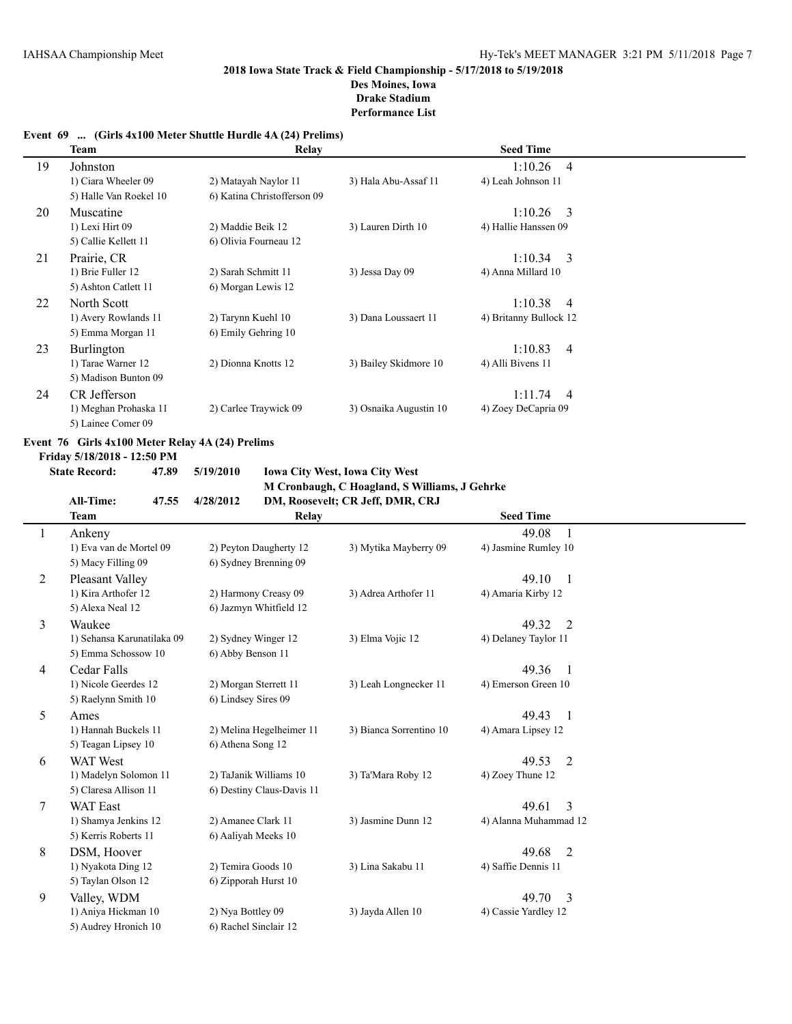#### **Event 69 ... (Girls 4x100 Meter Shuttle Hurdle 4A (24) Prelims)**

|    | Team                   | Relay                       |                        | <b>Seed Time</b>          |  |
|----|------------------------|-----------------------------|------------------------|---------------------------|--|
| 19 | Johnston               |                             |                        | $1:10.26$ 4               |  |
|    | 1) Ciara Wheeler 09    | 2) Matayah Naylor 11        | 3) Hala Abu-Assaf 11   | 4) Leah Johnson 11        |  |
|    | 5) Halle Van Roekel 10 | 6) Katina Christofferson 09 |                        |                           |  |
| 20 | Muscatine              |                             |                        | $1:10.26$ 3               |  |
|    | 1) Lexi Hirt 09        | 2) Maddie Beik 12           | 3) Lauren Dirth 10     | 4) Hallie Hanssen 09      |  |
|    | 5) Callie Kellett 11   | 6) Olivia Fourneau 12       |                        |                           |  |
| 21 | Prairie, CR            |                             |                        | $1:10.34$ 3               |  |
|    | 1) Brie Fuller 12      | 2) Sarah Schmitt 11         | 3) Jessa Day 09        | 4) Anna Millard 10        |  |
|    | 5) Ashton Catlett 11   | 6) Morgan Lewis 12          |                        |                           |  |
| 22 | North Scott            |                             |                        | 1:10.38<br>$\overline{4}$ |  |
|    | 1) Avery Rowlands 11   | 2) Tarynn Kuehl 10          | 3) Dana Loussaert 11   | 4) Britanny Bullock 12    |  |
|    | 5) Emma Morgan 11      | 6) Emily Gehring 10         |                        |                           |  |
| 23 | Burlington             |                             |                        | 1:10.83<br>4              |  |
|    | 1) Tarae Warner 12     | 2) Dionna Knotts 12         | 3) Bailey Skidmore 10  | 4) Alli Bivens 11         |  |
|    | 5) Madison Bunton 09   |                             |                        |                           |  |
| 24 | CR Jefferson           |                             |                        | 1:11.74<br>$\overline{4}$ |  |
|    | 1) Meghan Prohaska 11  | 2) Carlee Traywick 09       | 3) Osnaika Augustin 10 | 4) Zoey DeCapria 09       |  |
|    | 5) Lainee Comer 09     |                             |                        |                           |  |

#### **Event 76 Girls 4x100 Meter Relay 4A (24) Prelims**

**Friday 5/18/2018 - 12:50 PM**

#### **State Record: 47.89 5/19/2010 Iowa City West, Iowa City West M Cronbaugh, C Hoagland, S Williams, J Gehrke All-Time: 47.55 4/28/2012 DM, Roosevelt; CR Jeff, DMR, CRJ**

|   | <b>Team</b>                | Relay                     |                         | <b>Seed Time</b>                  |  |
|---|----------------------------|---------------------------|-------------------------|-----------------------------------|--|
| 1 | Ankeny                     |                           |                         | 49.08<br>$\mathbf{1}$             |  |
|   | 1) Eva van de Mortel 09    | 2) Peyton Daugherty 12    | 3) Mytika Mayberry 09   | 4) Jasmine Rumley 10              |  |
|   | 5) Macy Filling 09         | 6) Sydney Brenning 09     |                         |                                   |  |
| 2 | Pleasant Valley            |                           |                         | 49.10<br>$\overline{\phantom{0}}$ |  |
|   | 1) Kira Arthofer 12        | 2) Harmony Creasy 09      | 3) Adrea Arthofer 11    | 4) Amaria Kirby 12                |  |
|   | 5) Alexa Neal 12           | 6) Jazmyn Whitfield 12    |                         |                                   |  |
| 3 | Waukee                     |                           |                         | 49.32<br>$\overline{2}$           |  |
|   | 1) Sehansa Karunatilaka 09 | 2) Sydney Winger 12       | 3) Elma Vojic 12        | 4) Delaney Taylor 11              |  |
|   | 5) Emma Schossow 10        | 6) Abby Benson 11         |                         |                                   |  |
| 4 | Cedar Falls                |                           |                         | 49.36                             |  |
|   | 1) Nicole Geerdes 12       | 2) Morgan Sterrett 11     | 3) Leah Longnecker 11   | 4) Emerson Green 10               |  |
|   | 5) Raelynn Smith 10        | 6) Lindsey Sires 09       |                         |                                   |  |
| 5 | Ames                       |                           |                         | 49.43<br>$\blacksquare$           |  |
|   | 1) Hannah Buckels 11       | 2) Melina Hegelheimer 11  | 3) Bianca Sorrentino 10 | 4) Amara Lipsey 12                |  |
|   | 5) Teagan Lipsey 10        | 6) Athena Song 12         |                         |                                   |  |
| 6 | <b>WAT West</b>            |                           |                         | 49.53<br>2                        |  |
|   | 1) Madelyn Solomon 11      | 2) TaJanik Williams 10    | 3) Ta'Mara Roby 12      | 4) Zoey Thune 12                  |  |
|   | 5) Claresa Allison 11      | 6) Destiny Claus-Davis 11 |                         |                                   |  |
| 7 | <b>WAT East</b>            |                           |                         | 3<br>49.61                        |  |
|   | 1) Shamya Jenkins 12       | 2) Amanee Clark 11        | 3) Jasmine Dunn 12      | 4) Alanna Muhammad 12             |  |
|   | 5) Kerris Roberts 11       | 6) Aaliyah Meeks 10       |                         |                                   |  |
| 8 | DSM, Hoover                |                           |                         | 49.68<br>2                        |  |
|   | 1) Nyakota Ding 12         | 2) Temira Goods 10        | 3) Lina Sakabu 11       | 4) Saffie Dennis 11               |  |
|   | 5) Taylan Olson 12         | 6) Zipporah Hurst 10      |                         |                                   |  |
| 9 | Valley, WDM                |                           |                         | 49.70<br>$\overline{3}$           |  |
|   | 1) Aniya Hickman 10        | 2) Nya Bottley 09         | 3) Jayda Allen 10       | 4) Cassie Yardley 12              |  |
|   | 5) Audrey Hronich 10       | 6) Rachel Sinclair 12     |                         |                                   |  |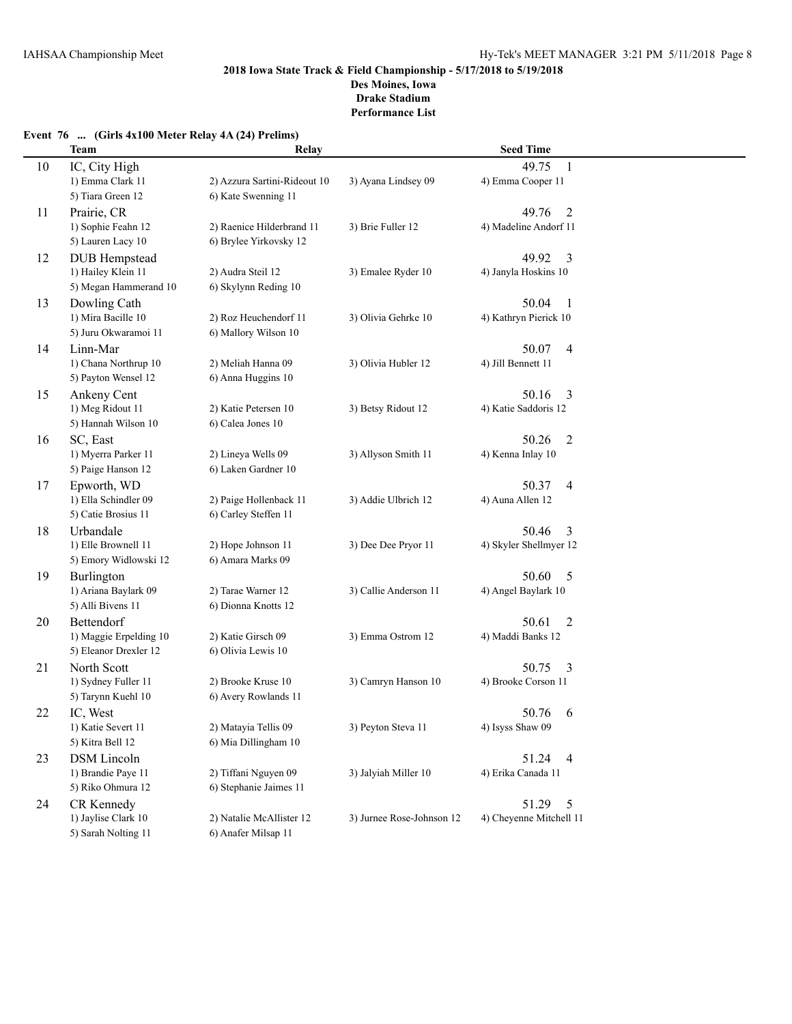# **Event 76 ... (Girls 4x100 Meter Relay 4A (24) Prelims)**

|    | <b>Team</b>                               | Relay                        |                           | <b>Seed Time</b>               |  |
|----|-------------------------------------------|------------------------------|---------------------------|--------------------------------|--|
| 10 | IC, City High                             |                              |                           | $\mathbf{1}$<br>49.75          |  |
|    | 1) Emma Clark 11                          | 2) Azzura Sartini-Rideout 10 | 3) Ayana Lindsey 09       | 4) Emma Cooper 11              |  |
|    | 5) Tiara Green 12                         | 6) Kate Swenning 11          |                           |                                |  |
| 11 | Prairie, CR                               |                              |                           | 49.76<br>2                     |  |
|    | 1) Sophie Feahn 12                        | 2) Raenice Hilderbrand 11    | 3) Brie Fuller 12         | 4) Madeline Andorf 11          |  |
|    | 5) Lauren Lacy 10                         | 6) Brylee Yirkovsky 12       |                           |                                |  |
| 12 | <b>DUB</b> Hempstead                      |                              |                           | 49.92<br>3                     |  |
|    | 1) Hailey Klein 11                        | 2) Audra Steil 12            | 3) Emalee Ryder 10        | 4) Janyla Hoskins 10           |  |
|    | 5) Megan Hammerand 10                     | 6) Skylynn Reding 10         |                           |                                |  |
| 13 | Dowling Cath                              |                              |                           | 50.04<br>-1                    |  |
|    | 1) Mira Bacille 10                        | 2) Roz Heuchendorf 11        | 3) Olivia Gehrke 10       | 4) Kathryn Pierick 10          |  |
|    | 5) Juru Okwaramoi 11                      | 6) Mallory Wilson 10         |                           |                                |  |
| 14 | Linn-Mar                                  |                              |                           | 50.07<br>4                     |  |
|    | 1) Chana Northrup 10                      | 2) Meliah Hanna 09           | 3) Olivia Hubler 12       | 4) Jill Bennett 11             |  |
|    | 5) Payton Wensel 12                       | 6) Anna Huggins 10           |                           |                                |  |
| 15 | Ankeny Cent                               |                              |                           | 50.16<br>3                     |  |
|    | 1) Meg Ridout 11                          | 2) Katie Petersen 10         | 3) Betsy Ridout 12        | 4) Katie Saddoris 12           |  |
|    | 5) Hannah Wilson 10                       | 6) Calea Jones 10            |                           |                                |  |
|    | SC, East                                  |                              |                           | 50.26                          |  |
| 16 | 1) Myerra Parker 11                       | 2) Lineya Wells 09           | 3) Allyson Smith 11       | 2<br>4) Kenna Inlay 10         |  |
|    | 5) Paige Hanson 12                        | 6) Laken Gardner 10          |                           |                                |  |
|    |                                           |                              |                           |                                |  |
| 17 | Epworth, WD<br>1) Ella Schindler 09       | 2) Paige Hollenback 11       | 3) Addie Ulbrich 12       | 50.37<br>4<br>4) Auna Allen 12 |  |
|    | 5) Catie Brosius 11                       | 6) Carley Steffen 11         |                           |                                |  |
|    | Urbandale                                 |                              |                           | 50.46                          |  |
| 18 | 1) Elle Brownell 11                       | 2) Hope Johnson 11           | 3) Dee Dee Pryor 11       | 3<br>4) Skyler Shellmyer 12    |  |
|    | 5) Emory Widlowski 12                     | 6) Amara Marks 09            |                           |                                |  |
|    |                                           |                              |                           | 50.60                          |  |
| 19 | <b>Burlington</b><br>1) Ariana Baylark 09 | 2) Tarae Warner 12           | 3) Callie Anderson 11     | 5<br>4) Angel Baylark 10       |  |
|    | 5) Alli Bivens 11                         | 6) Dionna Knotts 12          |                           |                                |  |
| 20 | Bettendorf                                |                              |                           | 50.61                          |  |
|    | 1) Maggie Erpelding 10                    | 2) Katie Girsch 09           | 3) Emma Ostrom 12         | 2<br>4) Maddi Banks 12         |  |
|    | 5) Eleanor Drexler 12                     | 6) Olivia Lewis 10           |                           |                                |  |
|    | North Scott                               |                              |                           | 50.75                          |  |
| 21 | 1) Sydney Fuller 11                       | 2) Brooke Kruse 10           | 3) Camryn Hanson 10       | 3<br>4) Brooke Corson 11       |  |
|    | 5) Tarynn Kuehl 10                        | 6) Avery Rowlands 11         |                           |                                |  |
|    |                                           |                              |                           |                                |  |
| 22 | IC, West                                  | 2) Matayia Tellis 09         | 3) Peyton Steva 11        | 50.76<br>-6                    |  |
|    | 1) Katie Severt 11<br>5) Kitra Bell 12    | 6) Mia Dillingham 10         |                           | 4) Isyss Shaw 09               |  |
|    |                                           |                              |                           |                                |  |
| 23 | <b>DSM</b> Lincoln                        | 2) Tiffani Nguyen 09         |                           | 51.24 4                        |  |
|    | 1) Brandie Paye 11<br>5) Riko Ohmura 12   | 6) Stephanie Jaimes 11       | 3) Jalyiah Miller 10      | 4) Erika Canada 11             |  |
|    |                                           |                              |                           |                                |  |
| 24 | CR Kennedy                                |                              |                           | 51.29<br>5                     |  |
|    | 1) Jaylise Clark 10                       | 2) Natalie McAllister 12     | 3) Jurnee Rose-Johnson 12 | 4) Cheyenne Mitchell 11        |  |
|    | 5) Sarah Nolting 11                       | 6) Anafer Milsap 11          |                           |                                |  |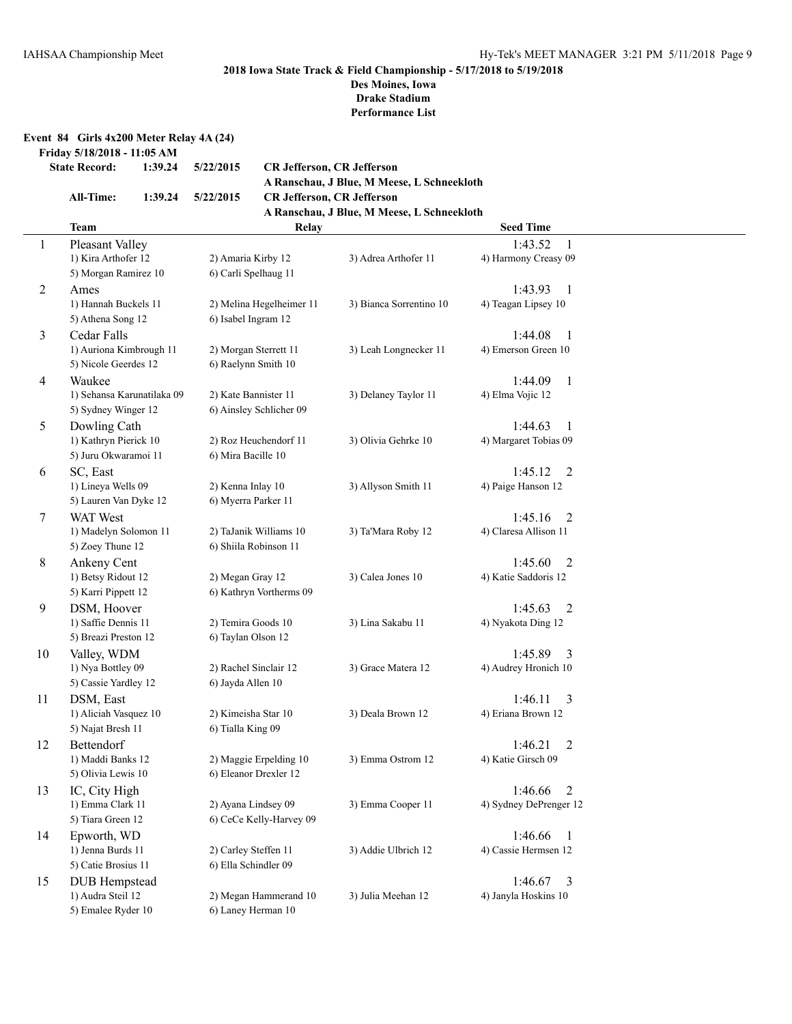#### **2018 Iowa State Track & Field Championship - 5/17/2018 to 5/19/2018 Des Moines, Iowa**

**Drake Stadium Performance List**

**Event 84 Girls 4x200 Meter Relay 4A (24)**

**Friday 5/18/2018 - 11:05 AM**

```
State Record: 1:39.24 5/22/2015 CR Jefferson, CR Jefferson
```
**A Ranschau, J Blue, M Meese, L Schneekloth All-Time: 1:39.24 5/22/2015 CR Jefferson, CR Jefferson A Ranschau, J Blue, M Meese, L Schneekloth**

|              | <b>Team</b>                | Relay                    |                         | <b>Seed Time</b>          |  |
|--------------|----------------------------|--------------------------|-------------------------|---------------------------|--|
| $\mathbf{1}$ | Pleasant Valley            |                          |                         | 1:43.52                   |  |
|              | 1) Kira Arthofer 12        | 2) Amaria Kirby 12       | 3) Adrea Arthofer 11    | 4) Harmony Creasy 09      |  |
|              | 5) Morgan Ramirez 10       | 6) Carli Spelhaug 11     |                         |                           |  |
| 2            | Ames                       |                          |                         | 1:43.93<br>$\mathbf{1}$   |  |
|              | 1) Hannah Buckels 11       | 2) Melina Hegelheimer 11 | 3) Bianca Sorrentino 10 | 4) Teagan Lipsey 10       |  |
|              | 5) Athena Song 12          | 6) Isabel Ingram 12      |                         |                           |  |
| 3            | Cedar Falls                |                          |                         | 1:44.08<br>$\mathbf{1}$   |  |
|              | 1) Auriona Kimbrough 11    | 2) Morgan Sterrett 11    | 3) Leah Longnecker 11   | 4) Emerson Green 10       |  |
|              | 5) Nicole Geerdes 12       | 6) Raelynn Smith 10      |                         |                           |  |
| 4            | Waukee                     |                          |                         | 1:44.09<br>$\mathbf{1}$   |  |
|              | 1) Sehansa Karunatilaka 09 | 2) Kate Bannister 11     | 3) Delaney Taylor 11    | 4) Elma Vojic 12          |  |
|              | 5) Sydney Winger 12        | 6) Ainsley Schlicher 09  |                         |                           |  |
| 5            | Dowling Cath               |                          |                         | 1:44.63<br>1              |  |
|              | 1) Kathryn Pierick 10      | 2) Roz Heuchendorf 11    | 3) Olivia Gehrke 10     | 4) Margaret Tobias 09     |  |
|              | 5) Juru Okwaramoi 11       | 6) Mira Bacille 10       |                         |                           |  |
| 6            | SC, East                   |                          |                         | 1:45.12<br>2              |  |
|              | 1) Lineya Wells 09         | 2) Kenna Inlay 10        | 3) Allyson Smith 11     | 4) Paige Hanson 12        |  |
|              | 5) Lauren Van Dyke 12      | 6) Myerra Parker 11      |                         |                           |  |
| 7            | <b>WAT</b> West            |                          |                         | 1:45.16<br>2              |  |
|              | 1) Madelyn Solomon 11      | 2) TaJanik Williams 10   | 3) Ta'Mara Roby 12      | 4) Claresa Allison 11     |  |
|              | 5) Zoey Thune 12           | 6) Shiila Robinson 11    |                         |                           |  |
| 8            | Ankeny Cent                |                          |                         | 1:45.60<br>2              |  |
|              | 1) Betsy Ridout 12         | 2) Megan Gray 12         | 3) Calea Jones 10       | 4) Katie Saddoris 12      |  |
|              | 5) Karri Pippett 12        | 6) Kathryn Vortherms 09  |                         |                           |  |
| 9            | DSM, Hoover                |                          |                         | 1:45.63<br>2              |  |
|              | 1) Saffie Dennis 11        | 2) Temira Goods 10       | 3) Lina Sakabu 11       | 4) Nyakota Ding 12        |  |
|              | 5) Breazi Preston 12       | 6) Taylan Olson 12       |                         |                           |  |
| 10           | Valley, WDM                |                          |                         | 1:45.89<br>3              |  |
|              | 1) Nya Bottley 09          | 2) Rachel Sinclair 12    | 3) Grace Matera 12      | 4) Audrey Hronich 10      |  |
|              | 5) Cassie Yardley 12       | 6) Jayda Allen 10        |                         |                           |  |
| 11           | DSM, East                  |                          |                         | 1:46.11<br>3              |  |
|              | 1) Aliciah Vasquez 10      | 2) Kimeisha Star 10      | 3) Deala Brown 12       | 4) Eriana Brown 12        |  |
|              | 5) Najat Bresh 11          | 6) Tialla King 09        |                         |                           |  |
| 12           | Bettendorf                 |                          |                         | 1:46.21<br>$\overline{2}$ |  |
|              | 1) Maddi Banks 12          | 2) Maggie Erpelding 10   | 3) Emma Ostrom 12       | 4) Katie Girsch 09        |  |
|              | 5) Olivia Lewis 10         | 6) Eleanor Drexler 12    |                         |                           |  |
| 13           | IC, City High              |                          |                         | 2<br>1:46.66              |  |
|              | 1) Emma Clark 11           | 2) Ayana Lindsey 09      | 3) Emma Cooper 11       | 4) Sydney DePrenger 12    |  |
|              | 5) Tiara Green 12          | 6) CeCe Kelly-Harvey 09  |                         |                           |  |
| 14           | Epworth, WD                |                          |                         | 1:46.66<br>$\mathbf{1}$   |  |
|              | 1) Jenna Burds 11          | 2) Carley Steffen 11     | 3) Addie Ulbrich 12     | 4) Cassie Hermsen 12      |  |
|              | 5) Catie Brosius 11        | 6) Ella Schindler 09     |                         |                           |  |
| 15           | <b>DUB</b> Hempstead       |                          |                         | 1:46.67<br>3              |  |
|              | 1) Audra Steil 12          | 2) Megan Hammerand 10    | 3) Julia Meehan 12      | 4) Janyla Hoskins 10      |  |
|              | 5) Emalee Ryder 10         | 6) Laney Herman 10       |                         |                           |  |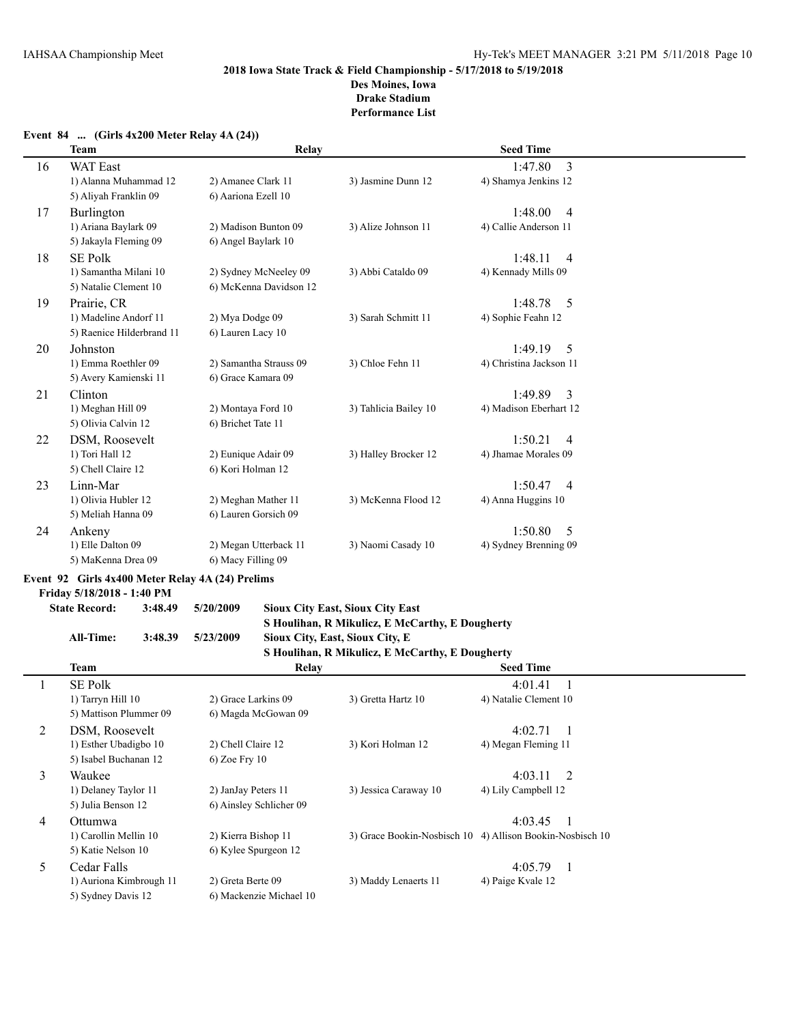#### **Event 84 ... (Girls 4x200 Meter Relay 4A (24))**

|    | <b>Team</b>               | Relay                  |                       | <b>Seed Time</b>          |  |
|----|---------------------------|------------------------|-----------------------|---------------------------|--|
| 16 | <b>WAT East</b>           |                        |                       | 3<br>1:47.80              |  |
|    | 1) Alanna Muhammad 12     | 2) Amanee Clark 11     | 3) Jasmine Dunn 12    | 4) Shamya Jenkins 12      |  |
|    | 5) Aliyah Franklin 09     | 6) Aariona Ezell 10    |                       |                           |  |
| 17 | <b>Burlington</b>         |                        |                       | 1:48.00<br>$\overline{4}$ |  |
|    | 1) Ariana Baylark 09      | 2) Madison Bunton 09   | 3) Alize Johnson 11   | 4) Callie Anderson 11     |  |
|    | 5) Jakayla Fleming 09     | 6) Angel Baylark 10    |                       |                           |  |
| 18 | <b>SE Polk</b>            |                        |                       | 1:48.11<br>$\overline{4}$ |  |
|    | 1) Samantha Milani 10     | 2) Sydney McNeeley 09  | 3) Abbi Cataldo 09    | 4) Kennady Mills 09       |  |
|    | 5) Natalie Clement 10     | 6) McKenna Davidson 12 |                       |                           |  |
| 19 | Prairie, CR               |                        |                       | 1:48.78<br>$\overline{5}$ |  |
|    | 1) Madeline Andorf 11     | 2) Mya Dodge 09        | 3) Sarah Schmitt 11   | 4) Sophie Feahn 12        |  |
|    | 5) Raenice Hilderbrand 11 | 6) Lauren Lacy 10      |                       |                           |  |
| 20 | Johnston                  |                        |                       | 1:49.19<br>$\overline{5}$ |  |
|    | 1) Emma Roethler 09       | 2) Samantha Strauss 09 | 3) Chloe Fehn 11      | 4) Christina Jackson 11   |  |
|    | 5) Avery Kamienski 11     | 6) Grace Kamara 09     |                       |                           |  |
| 21 | Clinton                   |                        |                       | $\overline{3}$<br>1:49.89 |  |
|    | 1) Meghan Hill 09         | 2) Montaya Ford 10     | 3) Tahlicia Bailey 10 | 4) Madison Eberhart 12    |  |
|    | 5) Olivia Calvin 12       | 6) Brichet Tate 11     |                       |                           |  |
| 22 | DSM, Roosevelt            |                        |                       | 1:50.21<br>$\overline{4}$ |  |
|    | 1) Tori Hall 12           | 2) Eunique Adair 09    | 3) Halley Brocker 12  | 4) Jhamae Morales 09      |  |
|    | 5) Chell Claire 12        | 6) Kori Holman 12      |                       |                           |  |
| 23 | Linn-Mar                  |                        |                       | 1:50.47<br>$\overline{4}$ |  |
|    | 1) Olivia Hubler 12       | 2) Meghan Mather 11    | 3) McKenna Flood 12   | 4) Anna Huggins 10        |  |
|    | 5) Meliah Hanna 09        | 6) Lauren Gorsich 09   |                       |                           |  |
| 24 | Ankeny                    |                        |                       | 1:50.80<br>.5             |  |
|    | 1) Elle Dalton 09         | 2) Megan Utterback 11  | 3) Naomi Casady 10    | 4) Sydney Brenning 09     |  |
|    | 5) MaKenna Drea 09        | 6) Macy Filling 09     |                       |                           |  |

# **Event 92 Girls 4x400 Meter Relay 4A (24) Prelims**

**Friday 5/18/2018 - 1:40 PM**

# **State Record: 3:48.49 5/20/2009 Sioux City East, Sioux City East S Houlihan, R Mikulicz, E McCarthy, E Dougherty**

#### **All-Time: 3:48.39 5/23/2009 Sioux City, East, Sioux City, E S Houlihan, R Mikulicz, E McCarthy, E Dougherty**

|   |                         |                         | 5 HOUINIAN, N MIKUNCZ, E MICCATUR, E DOUGHETTY |                                                           |  |
|---|-------------------------|-------------------------|------------------------------------------------|-----------------------------------------------------------|--|
|   | Team                    | Relay                   |                                                | <b>Seed Time</b>                                          |  |
|   | <b>SE Polk</b>          |                         |                                                | 4:01.41<br>$\overline{1}$                                 |  |
|   | 1) Tarryn Hill 10       | 2) Grace Larkins 09     | 3) Gretta Hartz 10                             | 4) Natalie Clement 10                                     |  |
|   | 5) Mattison Plummer 09  | 6) Magda McGowan 09     |                                                |                                                           |  |
| 2 | DSM, Roosevelt          |                         |                                                | 4:02.71                                                   |  |
|   | 1) Esther Ubadigbo 10   | 2) Chell Claire 12      | 3) Kori Holman 12                              | 4) Megan Fleming 11                                       |  |
|   | 5) Isabel Buchanan 12   | $6)$ Zoe Fry 10         |                                                |                                                           |  |
| 3 | Waukee                  |                         |                                                | 4:03.11<br>$\overline{2}$                                 |  |
|   | 1) Delaney Taylor 11    | 2) JanJay Peters 11     | 3) Jessica Caraway 10                          | 4) Lily Campbell 12                                       |  |
|   | 5) Julia Benson 12      | 6) Ainsley Schlicher 09 |                                                |                                                           |  |
| 4 | Ottumwa                 |                         |                                                | 4:03.45                                                   |  |
|   | 1) Carollin Mellin 10   | 2) Kierra Bishop 11     |                                                | 3) Grace Bookin-Nosbisch 10 4) Allison Bookin-Nosbisch 10 |  |
|   | 5) Katie Nelson 10      | 6) Kylee Spurgeon 12    |                                                |                                                           |  |
| 5 | Cedar Falls             |                         |                                                | 4:05.79                                                   |  |
|   | 1) Auriona Kimbrough 11 | 2) Greta Berte 09       | 3) Maddy Lenaerts 11                           | 4) Paige Kvale 12                                         |  |
|   | 5) Sydney Davis 12      | 6) Mackenzie Michael 10 |                                                |                                                           |  |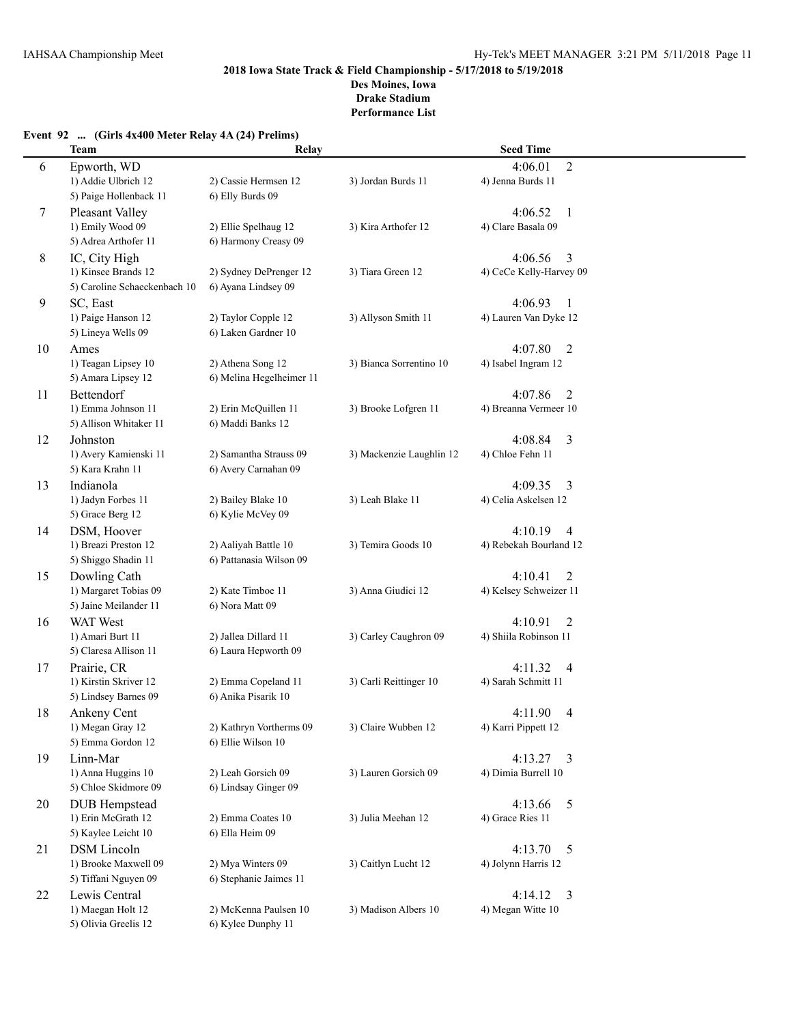|  |  |  |  |  |  |  |  |  | Event 92  (Girls 4x400 Meter Relay 4A (24) Prelims) |
|--|--|--|--|--|--|--|--|--|-----------------------------------------------------|
|--|--|--|--|--|--|--|--|--|-----------------------------------------------------|

|    | <b>Team</b>                                                                        | Relay                                                                 |                          | <b>Seed Time</b>                                    |  |
|----|------------------------------------------------------------------------------------|-----------------------------------------------------------------------|--------------------------|-----------------------------------------------------|--|
| 6  | Epworth, WD<br>1) Addie Ulbrich 12                                                 | 2) Cassie Hermsen 12                                                  | 3) Jordan Burds 11       | $\overline{2}$<br>4:06.01<br>4) Jenna Burds 11      |  |
| 7  | 5) Paige Hollenback 11<br>Pleasant Valley<br>1) Emily Wood 09                      | 6) Elly Burds 09<br>2) Ellie Spelhaug 12                              | 3) Kira Arthofer 12      | 4:06.52<br>$\mathbf{1}$<br>4) Clare Basala 09       |  |
| 8  | 5) Adrea Arthofer 11<br>IC, City High                                              | 6) Harmony Creasy 09                                                  |                          | 4:06.56<br>3                                        |  |
|    | 1) Kinsee Brands 12<br>5) Caroline Schaeckenbach 10                                | 2) Sydney DePrenger 12<br>6) Ayana Lindsey 09                         | 3) Tiara Green 12        | 4) CeCe Kelly-Harvey 09                             |  |
| 9  | SC, East<br>1) Paige Hanson 12                                                     | 2) Taylor Copple 12                                                   | 3) Allyson Smith 11      | 4:06.93<br>1<br>4) Lauren Van Dyke 12               |  |
| 10 | 5) Lineya Wells 09<br>Ames                                                         | 6) Laken Gardner 10                                                   |                          | 4:07.80<br>2                                        |  |
|    | 1) Teagan Lipsey 10<br>5) Amara Lipsey 12                                          | 2) Athena Song 12<br>6) Melina Hegelheimer 11                         | 3) Bianca Sorrentino 10  | 4) Isabel Ingram 12                                 |  |
| 11 | Bettendorf<br>1) Emma Johnson 11<br>5) Allison Whitaker 11                         | 2) Erin McQuillen 11<br>6) Maddi Banks 12                             | 3) Brooke Lofgren 11     | 4:07.86<br>2<br>4) Breanna Vermeer 10               |  |
| 12 | Johnston<br>1) Avery Kamienski 11<br>5) Kara Krahn 11                              | 2) Samantha Strauss 09<br>6) Avery Carnahan 09                        | 3) Mackenzie Laughlin 12 | 4:08.84<br>3<br>4) Chloe Fehn 11                    |  |
| 13 | Indianola<br>1) Jadyn Forbes 11<br>5) Grace Berg 12                                | 2) Bailey Blake 10<br>6) Kylie McVey 09                               | 3) Leah Blake 11         | 4:09.35<br>3<br>4) Celia Askelsen 12                |  |
| 14 | DSM, Hoover<br>1) Breazi Preston 12                                                | 2) Aaliyah Battle 10                                                  | 3) Temira Goods 10       | 4:10.19<br>$\overline{4}$<br>4) Rebekah Bourland 12 |  |
| 15 | 5) Shiggo Shadin 11<br>Dowling Cath<br>1) Margaret Tobias 09                       | 6) Pattanasia Wilson 09<br>2) Kate Timboe 11                          | 3) Anna Giudici 12       | 4:10.41<br>2<br>4) Kelsey Schweizer 11              |  |
| 16 | 5) Jaine Meilander 11<br><b>WAT</b> West<br>1) Amari Burt 11                       | 6) Nora Matt 09<br>2) Jallea Dillard 11                               | 3) Carley Caughron 09    | 4:10.91<br>2<br>4) Shiila Robinson 11               |  |
| 17 | 5) Claresa Allison 11<br>Prairie, CR                                               | 6) Laura Hepworth 09                                                  |                          | 4:11.32<br>$\overline{4}$                           |  |
|    | 1) Kirstin Skriver 12<br>5) Lindsey Barnes 09                                      | 2) Emma Copeland 11<br>6) Anika Pisarik 10                            | 3) Carli Reittinger 10   | 4) Sarah Schmitt 11                                 |  |
| 18 | Ankeny Cent<br>1) Megan Gray 12<br>5) Emma Gordon 12                               | 2) Kathryn Vortherms 09<br>6) Ellie Wilson 10                         | 3) Claire Wubben 12      | 4:11.90<br>$\overline{4}$<br>4) Karri Pippett 12    |  |
| 19 | Linn-Mar<br>1) Anna Huggins 10                                                     | 2) Leah Gorsich 09<br>6) Lindsay Ginger 09                            | 3) Lauren Gorsich 09     | $4:13.27$ 3<br>4) Dimia Burrell 10                  |  |
| 20 | 5) Chloe Skidmore 09<br><b>DUB</b> Hempstead<br>1) Erin McGrath 12                 | 2) Emma Coates 10                                                     | 3) Julia Meehan 12       | 4:13.66<br>5<br>4) Grace Ries 11                    |  |
| 21 | 5) Kaylee Leicht 10<br><b>DSM</b> Lincoln<br>1) Brooke Maxwell 09                  | 6) Ella Heim 09<br>2) Mya Winters 09                                  | 3) Caitlyn Lucht 12      | 4:13.70<br>5<br>4) Jolynn Harris 12                 |  |
| 22 | 5) Tiffani Nguyen 09<br>Lewis Central<br>1) Maegan Holt 12<br>5) Olivia Greelis 12 | 6) Stephanie Jaimes 11<br>2) McKenna Paulsen 10<br>6) Kylee Dunphy 11 | 3) Madison Albers 10     | $\overline{3}$<br>4:14.12<br>4) Megan Witte 10      |  |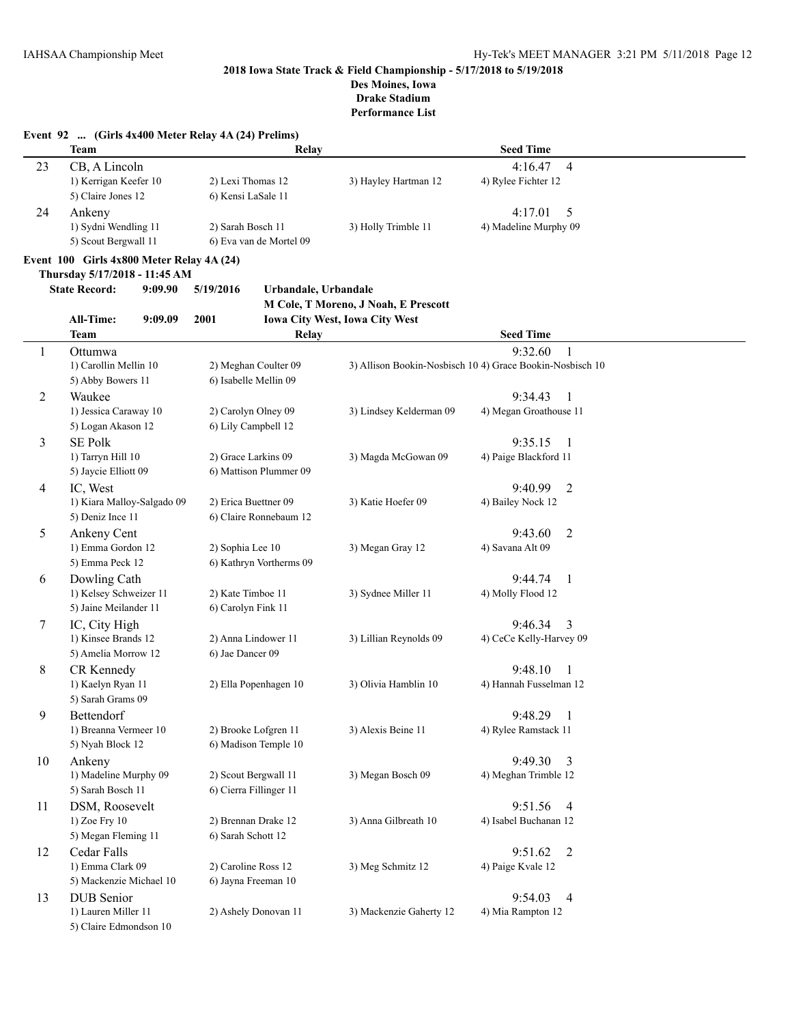**Des Moines, Iowa Drake Stadium**

|                | Event 92  (Girls 4x400 Meter Relay 4A (24) Prelims)<br><b>Team</b> | Relay                                     |                                       | <b>Seed Time</b>                                          |  |
|----------------|--------------------------------------------------------------------|-------------------------------------------|---------------------------------------|-----------------------------------------------------------|--|
| 23             | CB, A Lincoln                                                      |                                           |                                       | $\overline{4}$<br>4:16.47                                 |  |
|                | 1) Kerrigan Keefer 10                                              | 2) Lexi Thomas 12                         | 3) Hayley Hartman 12                  | 4) Rylee Fichter 12                                       |  |
|                | 5) Claire Jones 12                                                 | 6) Kensi LaSale 11                        |                                       |                                                           |  |
| 24             | Ankeny                                                             |                                           |                                       | 4:17.01<br>5                                              |  |
|                | 1) Sydni Wendling 11                                               | 2) Sarah Bosch 11                         | 3) Holly Trimble 11                   | 4) Madeline Murphy 09                                     |  |
|                | 5) Scout Bergwall 11                                               | 6) Eva van de Mortel 09                   |                                       |                                                           |  |
|                | Event 100 Girls 4x800 Meter Relay 4A (24)                          |                                           |                                       |                                                           |  |
|                | Thursday 5/17/2018 - 11:45 AM                                      |                                           |                                       |                                                           |  |
|                | <b>State Record:</b><br>9:09.90                                    | 5/19/2016<br>Urbandale, Urbandale         |                                       |                                                           |  |
|                |                                                                    |                                           | M Cole, T Moreno, J Noah, E Prescott  |                                                           |  |
|                | All-Time:<br>9:09.09                                               | 2001                                      | <b>Iowa City West, Iowa City West</b> |                                                           |  |
|                | Team                                                               | Relay                                     |                                       | <b>Seed Time</b>                                          |  |
| $\mathbf{1}$   | Ottumwa                                                            |                                           |                                       | 9:32.60<br>$\mathbf{1}$                                   |  |
|                | 1) Carollin Mellin 10                                              | 2) Meghan Coulter 09                      |                                       | 3) Allison Bookin-Nosbisch 10 4) Grace Bookin-Nosbisch 10 |  |
|                | 5) Abby Bowers 11                                                  | 6) Isabelle Mellin 09                     |                                       |                                                           |  |
| $\overline{2}$ | Waukee                                                             |                                           |                                       | 9:34.43<br>$\mathbf{1}$                                   |  |
|                | 1) Jessica Caraway 10                                              | 2) Carolyn Olney 09                       | 3) Lindsey Kelderman 09               | 4) Megan Groathouse 11                                    |  |
|                | 5) Logan Akason 12                                                 | 6) Lily Campbell 12                       |                                       |                                                           |  |
| 3              | <b>SE Polk</b>                                                     | 2) Grace Larkins 09                       |                                       | 9:35.15<br>-1                                             |  |
|                | 1) Tarryn Hill 10                                                  |                                           | 3) Magda McGowan 09                   | 4) Paige Blackford 11                                     |  |
|                | 5) Jaycie Elliott 09                                               | 6) Mattison Plummer 09                    |                                       | 9:40.99                                                   |  |
| $\overline{4}$ | IC, West<br>1) Kiara Malloy-Salgado 09                             | 2) Erica Buettner 09                      | 3) Katie Hoefer 09                    | 2<br>4) Bailey Nock 12                                    |  |
|                | 5) Deniz Ince 11                                                   | 6) Claire Ronnebaum 12                    |                                       |                                                           |  |
| 5              | Ankeny Cent                                                        |                                           |                                       | 9:43.60<br>$\overline{2}$                                 |  |
|                | 1) Emma Gordon 12                                                  | 2) Sophia Lee 10                          | 3) Megan Gray 12                      | 4) Savana Alt 09                                          |  |
|                | 5) Emma Peck 12                                                    | 6) Kathryn Vortherms 09                   |                                       |                                                           |  |
| 6              | Dowling Cath                                                       |                                           |                                       | 9:44.74<br>-1                                             |  |
|                | 1) Kelsey Schweizer 11                                             | 2) Kate Timboe 11                         | 3) Sydnee Miller 11                   | 4) Molly Flood 12                                         |  |
|                | 5) Jaine Meilander 11                                              | 6) Carolyn Fink 11                        |                                       |                                                           |  |
| $\tau$         | IC, City High                                                      |                                           |                                       | 9:46.34<br>3                                              |  |
|                | 1) Kinsee Brands 12                                                | 2) Anna Lindower 11                       | 3) Lillian Reynolds 09                | 4) CeCe Kelly-Harvey 09                                   |  |
|                | 5) Amelia Morrow 12                                                | 6) Jae Dancer 09                          |                                       |                                                           |  |
| 8              | CR Kennedy                                                         |                                           |                                       | 9:48.10<br>1                                              |  |
|                | 1) Kaelyn Ryan 11                                                  | 2) Ella Popenhagen 10                     | 3) Olivia Hamblin 10                  | 4) Hannah Fusselman 12                                    |  |
|                | 5) Sarah Grams 09                                                  |                                           |                                       |                                                           |  |
| 9              | Bettendorf                                                         |                                           |                                       | 9:48.29<br>$\overline{1}$                                 |  |
|                | 1) Breanna Vermeer 10                                              | 2) Brooke Lofgren 11                      | 3) Alexis Beine 11                    | 4) Rylee Ramstack 11                                      |  |
|                | 5) Nyah Block 12                                                   | 6) Madison Temple 10                      |                                       |                                                           |  |
| 10             | Ankeny                                                             |                                           |                                       | 9:49.30<br>3                                              |  |
|                | 1) Madeline Murphy 09                                              | 2) Scout Bergwall 11                      | 3) Megan Bosch 09                     | 4) Meghan Trimble 12                                      |  |
|                | 5) Sarah Bosch 11                                                  | 6) Cierra Fillinger 11                    |                                       |                                                           |  |
| 11             | DSM, Roosevelt                                                     |                                           |                                       | 9:51.56<br>4                                              |  |
|                | 1) Zoe Fry 10                                                      | 2) Brennan Drake 12<br>6) Sarah Schott 12 | 3) Anna Gilbreath 10                  | 4) Isabel Buchanan 12                                     |  |
|                | 5) Megan Fleming 11                                                |                                           |                                       |                                                           |  |
| 12             | Cedar Falls<br>1) Emma Clark 09                                    | 2) Caroline Ross 12                       | 3) Meg Schmitz 12                     | 9:51.62<br>2<br>4) Paige Kvale 12                         |  |
|                | 5) Mackenzie Michael 10                                            | 6) Jayna Freeman 10                       |                                       |                                                           |  |
| 13             | <b>DUB</b> Senior                                                  |                                           |                                       | 9:54.03<br>4                                              |  |
|                | 1) Lauren Miller 11                                                | 2) Ashely Donovan 11                      | 3) Mackenzie Gaherty 12               | 4) Mia Rampton 12                                         |  |
|                | 5) Claire Edmondson 10                                             |                                           |                                       |                                                           |  |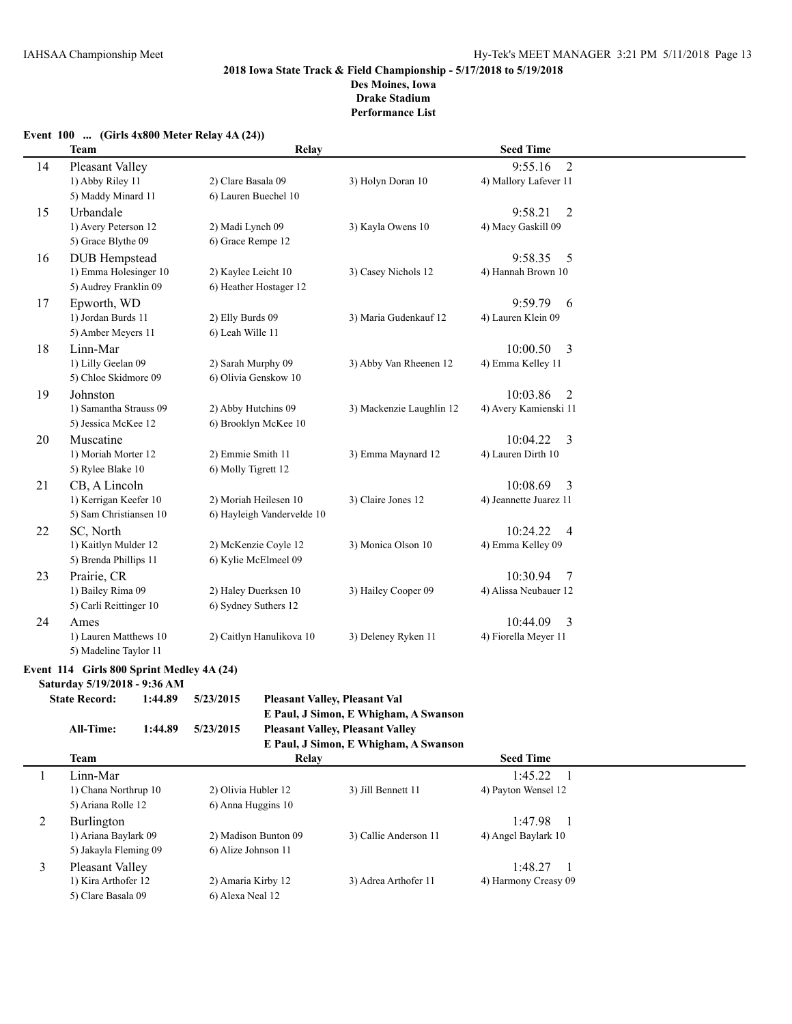### **Event 100 ... (Girls 4x800 Meter Relay 4A (24))**

| <b>Team</b> |                                            | Relay                                      |                          | <b>Seed Time</b>                                   |  |
|-------------|--------------------------------------------|--------------------------------------------|--------------------------|----------------------------------------------------|--|
| 14          | Pleasant Valley<br>1) Abby Riley 11        | 2) Clare Basala 09                         | 3) Holyn Doran 10        | $\overline{2}$<br>9:55.16<br>4) Mallory Lafever 11 |  |
|             | 5) Maddy Minard 11                         | 6) Lauren Buechel 10                       |                          |                                                    |  |
| 15          | Urbandale                                  |                                            |                          | 9:58.21<br>$\overline{2}$                          |  |
|             | 1) Avery Peterson 12                       | 2) Madi Lynch 09                           | 3) Kayla Owens 10        | 4) Macy Gaskill 09                                 |  |
|             | 5) Grace Blythe 09                         | 6) Grace Rempe 12                          |                          |                                                    |  |
| 16          | <b>DUB</b> Hempstead                       |                                            |                          | 9:58.35<br>5                                       |  |
|             | 1) Emma Holesinger 10                      | 2) Kaylee Leicht 10                        | 3) Casey Nichols 12      | 4) Hannah Brown 10                                 |  |
|             | 5) Audrey Franklin 09                      | 6) Heather Hostager 12                     |                          |                                                    |  |
| 17          | Epworth, WD                                |                                            |                          | 9:59.79<br>6                                       |  |
|             | 1) Jordan Burds 11                         | 2) Elly Burds 09                           | 3) Maria Gudenkauf 12    | 4) Lauren Klein 09                                 |  |
|             | 5) Amber Meyers 11                         | 6) Leah Wille 11                           |                          |                                                    |  |
| 18          | Linn-Mar                                   |                                            |                          | 10:00.50<br>3                                      |  |
|             | 1) Lilly Geelan 09<br>5) Chloe Skidmore 09 | 2) Sarah Murphy 09<br>6) Olivia Genskow 10 | 3) Abby Van Rheenen 12   | 4) Emma Kelley 11                                  |  |
| 19          | Johnston                                   |                                            |                          | 10:03.86<br>$\overline{2}$                         |  |
|             | 1) Samantha Strauss 09                     | 2) Abby Hutchins 09                        | 3) Mackenzie Laughlin 12 | 4) Avery Kamienski 11                              |  |
|             | 5) Jessica McKee 12                        | 6) Brooklyn McKee 10                       |                          |                                                    |  |
| 20          | Muscatine                                  |                                            |                          | 10:04.22<br>3                                      |  |
|             | 1) Moriah Morter 12                        | 2) Emmie Smith 11                          | 3) Emma Maynard 12       | 4) Lauren Dirth 10                                 |  |
|             | 5) Rylee Blake 10                          | 6) Molly Tigrett 12                        |                          |                                                    |  |
| 21          | CB, A Lincoln                              |                                            |                          | 10:08.69<br>3                                      |  |
|             | 1) Kerrigan Keefer 10                      | 2) Moriah Heilesen 10                      | 3) Claire Jones 12       | 4) Jeannette Juarez 11                             |  |
|             | 5) Sam Christiansen 10                     | 6) Hayleigh Vandervelde 10                 |                          |                                                    |  |
| 22          | SC, North                                  |                                            |                          | 10:24.22<br>$\overline{4}$                         |  |
|             | 1) Kaitlyn Mulder 12                       | 2) McKenzie Coyle 12                       | 3) Monica Olson 10       | 4) Emma Kelley 09                                  |  |
|             | 5) Brenda Phillips 11                      | 6) Kylie McElmeel 09                       |                          |                                                    |  |
| 23          | Prairie, CR                                |                                            |                          | 10:30.94<br>7                                      |  |
|             | 1) Bailey Rima 09                          | 2) Haley Duerksen 10                       | 3) Hailey Cooper 09      | 4) Alissa Neubauer 12                              |  |
|             | 5) Carli Reittinger 10                     | 6) Sydney Suthers 12                       |                          |                                                    |  |
| 24          | Ames<br>1) Lauren Matthews 10              | 2) Caitlyn Hanulikova 10                   | 3) Deleney Ryken 11      | 10:44.09<br>3<br>4) Fiorella Meyer 11              |  |
|             | 5) Madeline Taylor 11                      |                                            |                          |                                                    |  |
|             | Event 114 Girls 800 Sprint Medley 4A (24)  |                                            |                          |                                                    |  |
|             | Saturday 5/19/2018 - 9:36 AM               |                                            |                          |                                                    |  |

| $94001$ and $97121$ and $97001$ and $1000$ |         |           |                                         |
|--------------------------------------------|---------|-----------|-----------------------------------------|
| <b>State Record:</b>                       | 1:44.89 | 5/23/2015 | <b>Pleasant Valley, Pleasant Val</b>    |
|                                            |         |           | E Paul, J Simon, E Whigham, A Swanson   |
| All-Time:                                  | 1:44.89 | 5/23/2015 | <b>Pleasant Valley, Pleasant Valley</b> |
|                                            |         |           | E Paul, J Simon, E Whigham, A Swanson   |
| $\mathbf{r}$                               |         |           |                                         |

| E Paul, J Simon, E Whigham, A Swanson |                      |                       |                      |  |  |  |  |  |
|---------------------------------------|----------------------|-----------------------|----------------------|--|--|--|--|--|
| <b>Team</b>                           | Relay                |                       | <b>Seed Time</b>     |  |  |  |  |  |
| Linn-Mar                              |                      |                       | 1:45.22              |  |  |  |  |  |
| 1) Chana Northrup 10                  | 2) Olivia Hubler 12  | 3) Jill Bennett 11    | 4) Payton Wensel 12  |  |  |  |  |  |
| 5) Ariana Rolle 12                    | 6) Anna Huggins 10   |                       |                      |  |  |  |  |  |
| <b>Burlington</b>                     |                      |                       | 1:47.98              |  |  |  |  |  |
| 1) Ariana Baylark 09                  | 2) Madison Bunton 09 | 3) Callie Anderson 11 | 4) Angel Baylark 10  |  |  |  |  |  |
| 5) Jakayla Fleming 09                 | 6) Alize Johnson 11  |                       |                      |  |  |  |  |  |
| Pleasant Valley                       |                      |                       | 1:48.27              |  |  |  |  |  |
| 1) Kira Arthofer 12                   | 2) Amaria Kirby 12   | 3) Adrea Arthofer 11  | 4) Harmony Creasy 09 |  |  |  |  |  |
| 5) Clare Basala 09                    | 6) Alexa Neal 12     |                       |                      |  |  |  |  |  |
|                                       |                      |                       |                      |  |  |  |  |  |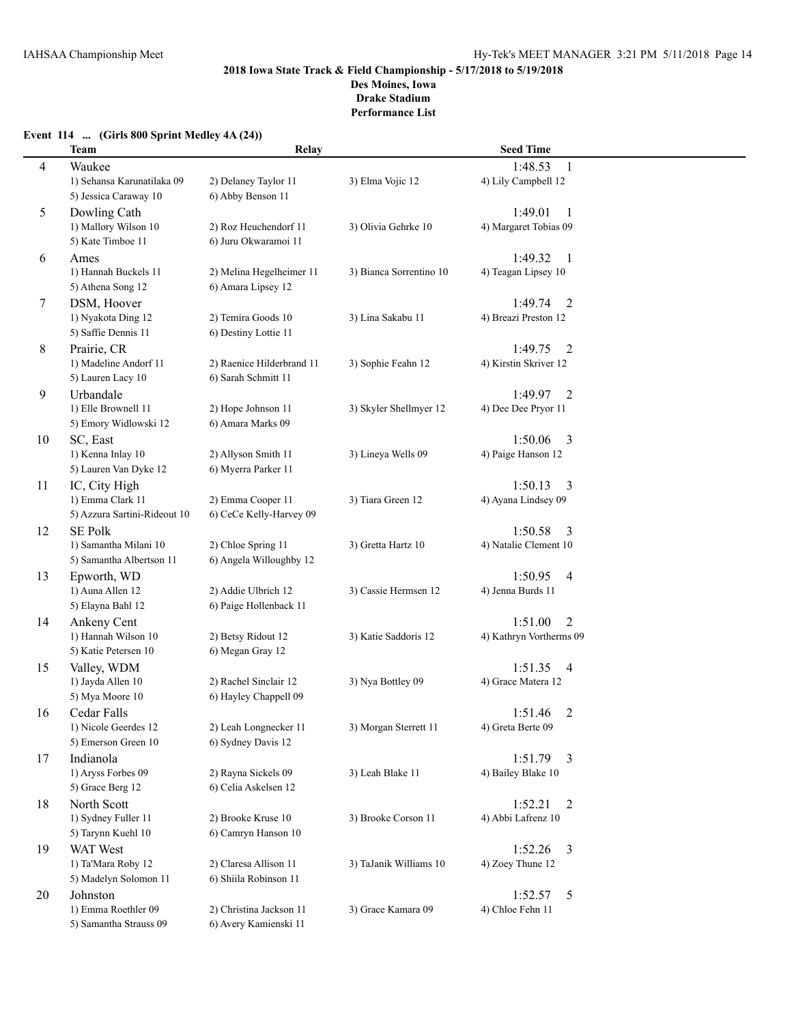# **Event 114 ... (Girls 800 Sprint Medley 4A (24))**

|    | <b>Team</b>                                         | Relay                                        |                         | <b>Seed Time</b>                                  |  |
|----|-----------------------------------------------------|----------------------------------------------|-------------------------|---------------------------------------------------|--|
| 4  | Waukee                                              |                                              |                         | 1:48.53<br>1                                      |  |
|    | 1) Sehansa Karunatilaka 09<br>5) Jessica Caraway 10 | 2) Delaney Taylor 11<br>6) Abby Benson 11    | 3) Elma Vojic 12        | 4) Lily Campbell 12                               |  |
| 5  | Dowling Cath                                        |                                              |                         | 1:49.01<br>-1                                     |  |
|    | 1) Mallory Wilson 10                                | 2) Roz Heuchendorf 11                        | 3) Olivia Gehrke 10     | 4) Margaret Tobias 09                             |  |
|    | 5) Kate Timboe 11                                   | 6) Juru Okwaramoi 11                         |                         |                                                   |  |
| 6  | Ames                                                |                                              |                         | 1:49.32<br>-1                                     |  |
|    | 1) Hannah Buckels 11                                | 2) Melina Hegelheimer 11                     | 3) Bianca Sorrentino 10 | 4) Teagan Lipsey 10                               |  |
|    | 5) Athena Song 12                                   | 6) Amara Lipsey 12                           |                         |                                                   |  |
| 7  | DSM, Hoover<br>1) Nyakota Ding 12                   | 2) Temira Goods 10                           | 3) Lina Sakabu 11       | $\overline{2}$<br>1:49.74<br>4) Breazi Preston 12 |  |
|    | 5) Saffie Dennis 11                                 | 6) Destiny Lottie 11                         |                         |                                                   |  |
| 8  | Prairie, CR                                         |                                              |                         | 1:49.75<br>2                                      |  |
|    | 1) Madeline Andorf 11                               | 2) Raenice Hilderbrand 11                    | 3) Sophie Feahn 12      | 4) Kirstin Skriver 12                             |  |
|    | 5) Lauren Lacy 10                                   | 6) Sarah Schmitt 11                          |                         |                                                   |  |
| 9  | Urbandale                                           |                                              |                         | 1:49.97<br>2                                      |  |
|    | 1) Elle Brownell 11                                 | 2) Hope Johnson 11                           | 3) Skyler Shellmyer 12  | 4) Dee Dee Pryor 11                               |  |
|    | 5) Emory Widlowski 12                               | 6) Amara Marks 09                            |                         |                                                   |  |
| 10 | SC, East                                            |                                              |                         | 1:50.06<br>3                                      |  |
|    | 1) Kenna Inlay 10                                   | 2) Allyson Smith 11                          | 3) Lineya Wells 09      | 4) Paige Hanson 12                                |  |
|    | 5) Lauren Van Dyke 12                               | 6) Myerra Parker 11                          |                         |                                                   |  |
| 11 | IC, City High<br>1) Emma Clark 11                   |                                              |                         | 1:50.13<br>3<br>4) Ayana Lindsey 09               |  |
|    | 5) Azzura Sartini-Rideout 10                        | 2) Emma Cooper 11<br>6) CeCe Kelly-Harvey 09 | 3) Tiara Green 12       |                                                   |  |
| 12 | <b>SE Polk</b>                                      |                                              |                         | 1:50.58<br>3                                      |  |
|    | 1) Samantha Milani 10                               | 2) Chloe Spring 11                           | 3) Gretta Hartz 10      | 4) Natalie Clement 10                             |  |
|    | 5) Samantha Albertson 11                            | 6) Angela Willoughby 12                      |                         |                                                   |  |
| 13 | Epworth, WD                                         |                                              |                         | 1:50.95<br>4                                      |  |
|    | 1) Auna Allen 12                                    | 2) Addie Ulbrich 12                          | 3) Cassie Hermsen 12    | 4) Jenna Burds 11                                 |  |
|    | 5) Elayna Bahl 12                                   | 6) Paige Hollenback 11                       |                         |                                                   |  |
| 14 | Ankeny Cent                                         |                                              |                         | 1:51.00<br>$\overline{2}$                         |  |
|    | 1) Hannah Wilson 10                                 | 2) Betsy Ridout 12                           | 3) Katie Saddoris 12    | 4) Kathryn Vortherms 09                           |  |
|    | 5) Katie Petersen 10                                | 6) Megan Gray 12                             |                         |                                                   |  |
| 15 | Valley, WDM<br>1) Jayda Allen 10                    | 2) Rachel Sinclair 12                        | 3) Nya Bottley 09       | 1:51.35<br>4<br>4) Grace Matera 12                |  |
|    | 5) Mya Moore 10                                     | 6) Hayley Chappell 09                        |                         |                                                   |  |
| 16 | Cedar Falls                                         |                                              |                         | $\overline{2}$<br>1:51.46                         |  |
|    | 1) Nicole Geerdes 12                                | 2) Leah Longnecker 11                        | 3) Morgan Sterrett 11   | 4) Greta Berte 09                                 |  |
|    | 5) Emerson Green 10                                 | 6) Sydney Davis 12                           |                         |                                                   |  |
| 17 | Indianola                                           |                                              |                         | 1:51.79<br>$\overline{3}$                         |  |
|    | 1) Aryss Forbes 09                                  | 2) Rayna Sickels 09                          | 3) Leah Blake 11        | 4) Bailey Blake 10                                |  |
|    | 5) Grace Berg 12                                    | 6) Celia Askelsen 12                         |                         |                                                   |  |
| 18 | North Scott                                         |                                              |                         | 1:52.21<br>2                                      |  |
|    | 1) Sydney Fuller 11                                 | 2) Brooke Kruse 10                           | 3) Brooke Corson 11     | 4) Abbi Lafrenz 10                                |  |
|    | 5) Tarynn Kuehl 10                                  | 6) Camryn Hanson 10                          |                         |                                                   |  |
| 19 | <b>WAT West</b><br>1) Ta'Mara Roby 12               | 2) Claresa Allison 11                        | 3) TaJanik Williams 10  | 1:52.26<br>3<br>4) Zoey Thune 12                  |  |
|    | 5) Madelyn Solomon 11                               | 6) Shiila Robinson 11                        |                         |                                                   |  |
| 20 | Johnston                                            |                                              |                         | 1:52.57<br>5                                      |  |
|    | 1) Emma Roethler 09                                 | 2) Christina Jackson 11                      | 3) Grace Kamara 09      | 4) Chloe Fehn 11                                  |  |
|    | 5) Samantha Strauss 09                              | 6) Avery Kamienski 11                        |                         |                                                   |  |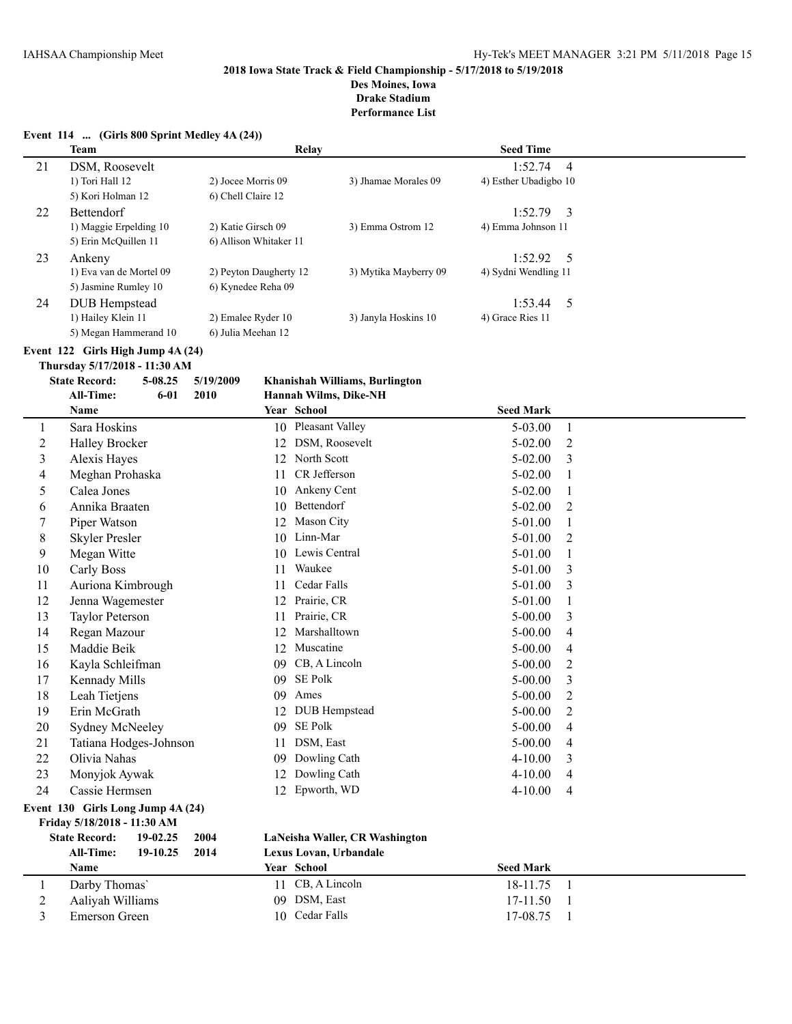# **Des Moines, Iowa**

**Drake Stadium**

|                | Event 114  (Girls 800 Sprint Medley 4A (24))                     |          |                    |                        |                                |                       |                       |                |  |
|----------------|------------------------------------------------------------------|----------|--------------------|------------------------|--------------------------------|-----------------------|-----------------------|----------------|--|
|                | <b>Team</b>                                                      |          |                    |                        | Relay                          |                       | <b>Seed Time</b>      |                |  |
| 21             | DSM, Roosevelt                                                   |          |                    |                        |                                |                       | 1:52.74               | $\overline{4}$ |  |
|                | 1) Tori Hall 12                                                  |          |                    | 2) Jocee Morris 09     | 3) Jhamae Morales 09           |                       | 4) Esther Ubadigbo 10 |                |  |
|                | 5) Kori Holman 12                                                |          | 6) Chell Claire 12 |                        |                                |                       |                       |                |  |
| 22             | Bettendorf                                                       |          |                    |                        |                                |                       | 1:52.79               | $\overline{3}$ |  |
|                | 1) Maggie Erpelding 10                                           |          |                    | 2) Katie Girsch 09     |                                | 3) Emma Ostrom 12     | 4) Emma Johnson 11    |                |  |
|                | 5) Erin McQuillen 11                                             |          |                    | 6) Allison Whitaker 11 |                                |                       |                       |                |  |
| 23             | Ankeny                                                           |          |                    |                        |                                |                       | 1:52.92               | 5              |  |
|                | 1) Eva van de Mortel 09                                          |          |                    | 2) Peyton Daugherty 12 |                                | 3) Mytika Mayberry 09 | 4) Sydni Wendling 11  |                |  |
|                | 5) Jasmine Rumley 10                                             |          |                    | 6) Kynedee Reha 09     |                                |                       |                       |                |  |
| 24             | <b>DUB</b> Hempstead                                             |          |                    |                        |                                |                       | 1:53.44               | 5              |  |
|                | 1) Hailey Klein 11                                               |          |                    | 2) Emalee Ryder 10     |                                | 3) Janyla Hoskins 10  | 4) Grace Ries 11      |                |  |
|                | 5) Megan Hammerand 10                                            |          |                    | 6) Julia Meehan 12     |                                |                       |                       |                |  |
|                | Event 122 Girls High Jump 4A (24)                                |          |                    |                        |                                |                       |                       |                |  |
|                | Thursday 5/17/2018 - 11:30 AM                                    |          |                    |                        |                                |                       |                       |                |  |
|                | <b>State Record:</b>                                             | 5-08.25  | 5/19/2009          |                        | Khanishah Williams, Burlington |                       |                       |                |  |
|                | <b>All-Time:</b>                                                 | $6 - 01$ | 2010               |                        | Hannah Wilms, Dike-NH          |                       |                       |                |  |
|                | Name                                                             |          |                    |                        | Year School                    |                       | <b>Seed Mark</b>      |                |  |
| 1              | Sara Hoskins                                                     |          |                    |                        | 10 Pleasant Valley             |                       | 5-03.00               | 1              |  |
| $\overline{c}$ | <b>Halley Brocker</b>                                            |          |                    |                        | 12 DSM, Roosevelt              |                       | 5-02.00               | 2              |  |
| 3              | Alexis Hayes                                                     |          |                    |                        | 12 North Scott                 |                       | 5-02.00               | 3              |  |
| 4              | Meghan Prohaska                                                  |          |                    | 11                     | CR Jefferson                   |                       | 5-02.00               | 1              |  |
| 5              | Calea Jones                                                      |          |                    |                        | 10 Ankeny Cent                 |                       | 5-02.00               | 1              |  |
| 6              | Annika Braaten                                                   |          |                    |                        | 10 Bettendorf                  |                       | 5-02.00               | 2              |  |
| 7              | Piper Watson                                                     |          |                    |                        | 12 Mason City                  |                       | 5-01.00               | 1              |  |
| 8              | <b>Skyler Presler</b>                                            |          |                    |                        | 10 Linn-Mar                    |                       | 5-01.00               | 2              |  |
| 9              | Megan Witte                                                      |          |                    |                        | 10 Lewis Central               |                       | 5-01.00               | 1              |  |
| 10             | Carly Boss                                                       |          |                    | 11                     | Waukee                         |                       | 5-01.00               | 3              |  |
| 11             | Auriona Kimbrough                                                |          |                    | 11                     | Cedar Falls                    |                       | 5-01.00               | 3              |  |
| 12             | Jenna Wagemester                                                 |          |                    |                        | 12 Prairie, CR                 |                       | 5-01.00               | 1              |  |
| 13             | Taylor Peterson                                                  |          |                    | 11                     | Prairie, CR                    |                       | 5-00.00               | 3              |  |
| 14             | Regan Mazour                                                     |          |                    | 12                     | Marshalltown                   |                       | $5 - 00.00$           | 4              |  |
| 15             | Maddie Beik                                                      |          |                    | 12                     | Muscatine                      |                       | $5 - 00.00$           | 4              |  |
| 16             | Kayla Schleifman                                                 |          |                    |                        | 09 CB, A Lincoln               |                       | $5 - 00.00$           | 2              |  |
| 17             | Kennady Mills                                                    |          |                    |                        | 09 SE Polk                     |                       | $5 - 00.00$           | 3              |  |
| 18             | Leah Tietjens                                                    |          |                    |                        | 09 Ames                        |                       | 5-00.00               | $\overline{2}$ |  |
| 19             | Erin McGrath                                                     |          |                    |                        | 12 DUB Hempstead               |                       | 5-00.00               | 2              |  |
| 20             | Sydney McNeeley                                                  |          |                    |                        | 09 SE Polk                     |                       | $5 - 00.00$           | 4              |  |
| 21             | Tatiana Hodges-Johnson                                           |          |                    | 11                     | DSM, East                      |                       | $5 - 00.00$           | 4              |  |
| 22             | Olivia Nahas                                                     |          |                    | 09.                    | Dowling Cath                   |                       | $4 - 10.00$           | 3              |  |
| 23             | Monyjok Aywak                                                    |          |                    | 12                     | Dowling Cath                   |                       | $4 - 10.00$           | 4              |  |
| 24             | Cassie Hermsen                                                   |          |                    |                        | 12 Epworth, WD                 |                       | $4 - 10.00$           | 4              |  |
|                |                                                                  |          |                    |                        |                                |                       |                       |                |  |
|                | Event 130 Girls Long Jump 4A (24)<br>Friday 5/18/2018 - 11:30 AM |          |                    |                        |                                |                       |                       |                |  |
|                | <b>State Record:</b>                                             | 19-02.25 | 2004               |                        | LaNeisha Waller, CR Washington |                       |                       |                |  |
|                | All-Time:                                                        | 19-10.25 | 2014               |                        | Lexus Lovan, Urbandale         |                       |                       |                |  |
|                | Name                                                             |          |                    |                        | Year School                    |                       | <b>Seed Mark</b>      |                |  |
| 1              | Darby Thomas'                                                    |          |                    |                        | 11 CB, A Lincoln               |                       | 18-11.75              | $\overline{1}$ |  |
| $\overline{2}$ | Aaliyah Williams                                                 |          |                    |                        | 09 DSM, East                   |                       | 17-11.50              |                |  |
| 3              | Emerson Green                                                    |          |                    |                        | 10 Cedar Falls                 |                       | 17-08.75              |                |  |
|                |                                                                  |          |                    |                        |                                |                       |                       |                |  |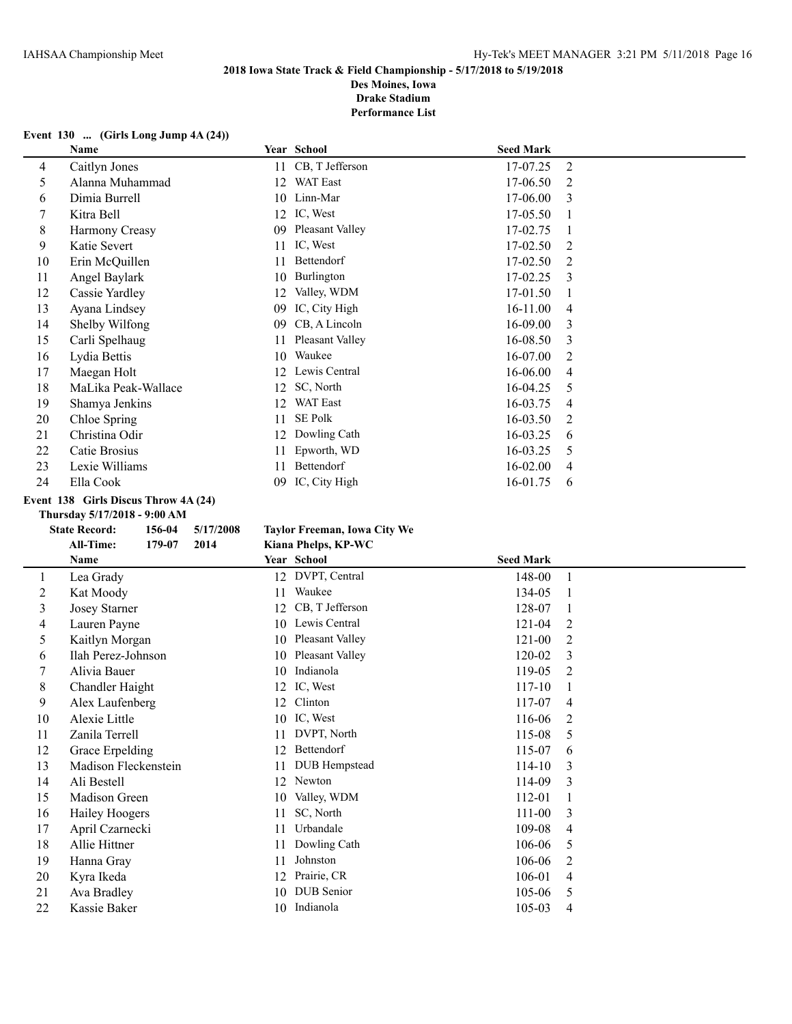**Des Moines, Iowa Drake Stadium**

**Performance List**

# **Event 130 ... (Girls Long Jump 4A (24))**

|    | <b>Name</b>         |    | Year School     | <b>Seed Mark</b> |   |
|----|---------------------|----|-----------------|------------------|---|
| 4  | Caitlyn Jones       | 11 | CB, T Jefferson | 17-07.25         | 2 |
| 5  | Alanna Muhammad     | 12 | WAT East        | 17-06.50         | 2 |
| 6  | Dimia Burrell       | 10 | Linn-Mar        | 17-06.00         | 3 |
|    | Kitra Bell          | 12 | IC, West        | 17-05.50         |   |
| 8  | Harmony Creasy      | 09 | Pleasant Valley | 17-02.75         |   |
| 9  | Katie Severt        | 11 | IC, West        | $17-02.50$       | 2 |
| 10 | Erin McQuillen      | 11 | Bettendorf      | 17-02.50         | 2 |
| 11 | Angel Baylark       | 10 | Burlington      | 17-02.25         | 3 |
| 12 | Cassie Yardley      | 12 | Valley, WDM     | 17-01.50         |   |
| 13 | Ayana Lindsey       | 09 | IC, City High   | $16-11.00$       | 4 |
| 14 | Shelby Wilfong      | 09 | CB, A Lincoln   | 16-09.00         | 3 |
| 15 | Carli Spelhaug      | 11 | Pleasant Valley | 16-08.50         | 3 |
| 16 | Lydia Bettis        | 10 | Waukee          | 16-07.00         | 2 |
| 17 | Maegan Holt         | 12 | Lewis Central   | 16-06.00         | 4 |
| 18 | MaLika Peak-Wallace | 12 | SC, North       | 16-04.25         | 5 |
| 19 | Shamya Jenkins      | 12 | <b>WAT East</b> | 16-03.75         | 4 |
| 20 | Chloe Spring        | 11 | <b>SE Polk</b>  | 16-03.50         | 2 |
| 21 | Christina Odir      | 12 | Dowling Cath    | 16-03.25         | 6 |
| 22 | Catie Brosius       | 11 | Epworth, WD     | 16-03.25         | 5 |
| 23 | Lexie Williams      | 11 | Bettendorf      | 16-02.00         | 4 |
| 24 | Ella Cook           | 09 | IC, City High   | 16-01.75         | 6 |

#### **Event 138 Girls Discus Throw 4A (24)**

#### **Thursday 5/17/2018 - 9:00 AM**

#### **State Record: 156-04 5/17/2008 Taylor Freeman, Iowa City We**

|    | <b>All-Time:</b><br>179-07<br>2014<br>Kiana Phelps, KP-WC |                              |                          |
|----|-----------------------------------------------------------|------------------------------|--------------------------|
|    | Name                                                      | Year School                  | <b>Seed Mark</b>         |
| 1  | Lea Grady                                                 | 12 DVPT, Central             | 148-00                   |
| 2  | Kat Moody                                                 | Waukee<br>11                 | 134-05                   |
| 3  | <b>Josey Starner</b>                                      | CB, T Jefferson<br>12        | 128-07                   |
| 4  | Lauren Payne                                              | Lewis Central<br>10          | 121-04<br>2              |
| 5  | Kaitlyn Morgan                                            | <b>Pleasant Valley</b><br>10 | $121 - 00$<br>2          |
| 6  | Ilah Perez-Johnson                                        | Pleasant Valley<br>10        | 120-02<br>3              |
| 7  | Alivia Bauer                                              | Indianola<br>10              | 119-05<br>2              |
| 8  | Chandler Haight                                           | IC, West<br>12               | 117-10                   |
| 9  | Alex Laufenberg                                           | Clinton<br>12                | 117-07<br>$\overline{4}$ |
| 10 | Alexie Little                                             | IC, West<br>10               | 116-06<br>2              |
| 11 | Zanila Terrell                                            | DVPT, North<br>11            | 115-08<br>5              |
| 12 | Grace Erpelding                                           | Bettendorf<br>12             | 115-07<br>6              |
| 13 | Madison Fleckenstein                                      | DUB Hempstead<br>11          | 114-10<br>3              |
| 14 | Ali Bestell                                               | Newton<br>12                 | 114-09<br>3              |
| 15 | Madison Green                                             | Valley, WDM<br>10            | 112-01                   |
| 16 | <b>Hailey Hoogers</b>                                     | SC, North<br>11              | $111 - 00$<br>3          |
| 17 | April Czarnecki                                           | Urbandale<br>11              | 109-08<br>4              |
| 18 | Allie Hittner                                             | Dowling Cath<br>11           | 106-06<br>5              |
| 19 | Hanna Gray                                                | Johnston<br>11               | 106-06<br>2              |
| 20 | Kyra Ikeda                                                | Prairie, CR<br>12            | 106-01<br>4              |
| 21 | Ava Bradley                                               | DUB Senior<br>10             | 105-06<br>5              |
| 22 | Kassie Baker                                              | Indianola<br>10              | 105-03<br>4              |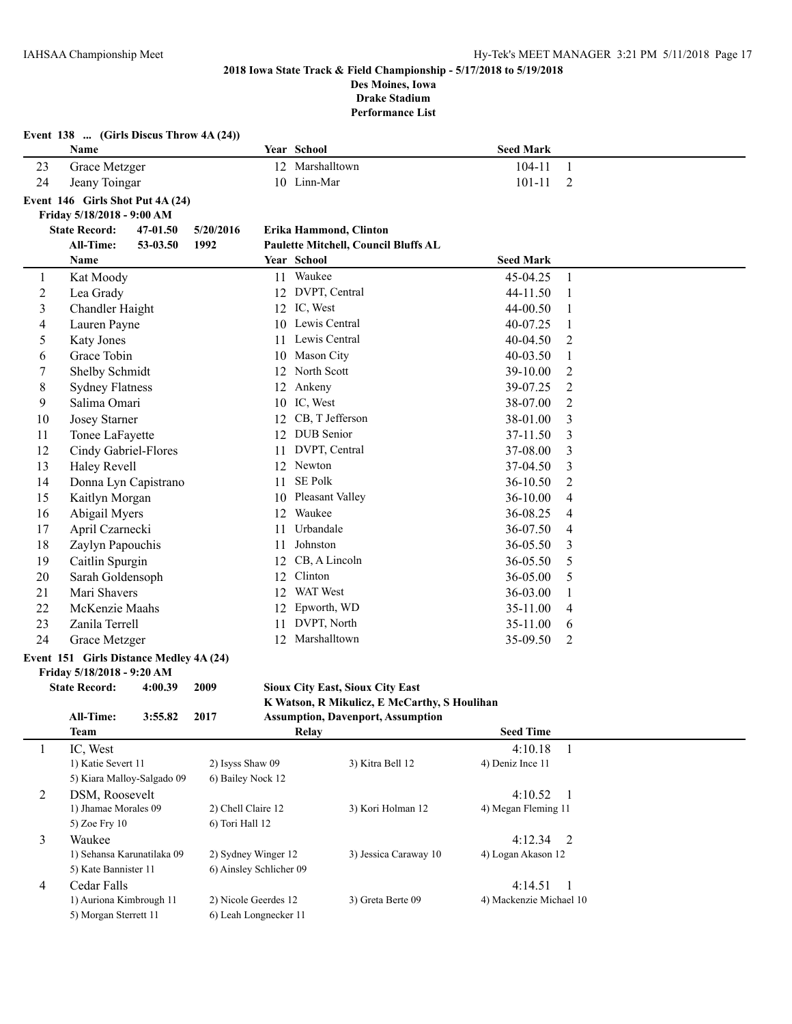**Event 138 ... (Girls Discus Throw 4A (24))**

#### **2018 Iowa State Track & Field Championship - 5/17/2018 to 5/19/2018 Des Moines, Iowa**

**Drake Stadium**

|                | Name                                    |                            |                                       |    | Year School                                  | <b>Seed Mark</b>               |                  |
|----------------|-----------------------------------------|----------------------------|---------------------------------------|----|----------------------------------------------|--------------------------------|------------------|
| 23             | Grace Metzger                           |                            |                                       |    | 12 Marshalltown                              | $104 - 11$                     | $\mathbf{1}$     |
| 24             | Jeany Toingar                           |                            |                                       |    | 10 Linn-Mar                                  | 101-11                         | $\overline{2}$   |
|                | Event 146 Girls Shot Put 4A (24)        |                            |                                       |    |                                              |                                |                  |
|                | Friday 5/18/2018 - 9:00 AM              |                            |                                       |    |                                              |                                |                  |
|                | <b>State Record:</b>                    | 47-01.50                   | 5/20/2016                             |    | Erika Hammond, Clinton                       |                                |                  |
|                | All-Time:                               | 53-03.50                   | 1992                                  |    | Paulette Mitchell, Council Bluffs AL         |                                |                  |
|                | Name                                    |                            |                                       |    | Year School                                  | <b>Seed Mark</b>               |                  |
| 1              | Kat Moody                               |                            |                                       |    | 11 Waukee                                    | 45-04.25                       | $\mathbf{1}$     |
| $\overline{c}$ | Lea Grady                               |                            |                                       |    | 12 DVPT, Central                             | 44-11.50                       | 1                |
| $\mathfrak{Z}$ | <b>Chandler Haight</b>                  |                            |                                       |    | 12 IC, West                                  | 44-00.50                       | 1                |
| 4              | Lauren Payne                            |                            |                                       |    | 10 Lewis Central                             | 40-07.25                       | 1                |
| 5              | <b>Katy Jones</b>                       |                            |                                       | 11 | Lewis Central                                | 40-04.50                       | 2                |
| 6              | Grace Tobin                             |                            |                                       | 10 | Mason City                                   | 40-03.50                       | 1                |
| 7              | Shelby Schmidt                          |                            |                                       | 12 | North Scott                                  | 39-10.00                       | 2                |
| 8              | <b>Sydney Flatness</b>                  |                            |                                       |    | 12 Ankeny                                    | 39-07.25                       | $\boldsymbol{2}$ |
| 9              | Salima Omari                            |                            |                                       |    | 10 IC, West                                  | 38-07.00                       | $\overline{2}$   |
| 10             | <b>Josey Starner</b>                    |                            |                                       |    | 12 CB, T Jefferson                           | 38-01.00                       | 3                |
| 11             | Tonee LaFayette                         |                            |                                       |    | 12 DUB Senior                                | 37-11.50                       | 3                |
| 12             | Cindy Gabriel-Flores                    |                            |                                       |    | 11 DVPT, Central                             | 37-08.00                       | 3                |
| 13             | Haley Revell                            |                            |                                       |    | 12 Newton                                    | 37-04.50                       | 3                |
| 14             |                                         | Donna Lyn Capistrano       |                                       |    | 11 SE Polk                                   | 36-10.50                       | $\overline{c}$   |
| 15             | Kaitlyn Morgan                          |                            |                                       |    | 10 Pleasant Valley                           | 36-10.00                       | $\overline{4}$   |
| 16             | Abigail Myers                           |                            |                                       |    | 12 Waukee                                    | 36-08.25                       | 4                |
| 17             | April Czarnecki                         |                            |                                       |    | 11 Urbandale                                 | 36-07.50                       | $\overline{4}$   |
| 18             | Zaylyn Papouchis                        |                            |                                       |    | 11 Johnston                                  | 36-05.50                       | 3                |
| 19             | Caitlin Spurgin                         |                            |                                       |    | 12 CB, A Lincoln                             | 36-05.50                       | 5                |
| 20             | Sarah Goldensoph                        |                            |                                       |    | 12 Clinton                                   | 36-05.00                       | 5                |
| 21             | Mari Shavers                            |                            |                                       |    | 12 WAT West                                  | 36-03.00                       | $\mathbf{1}$     |
| 22             | McKenzie Maahs                          |                            |                                       |    | 12 Epworth, WD                               | 35-11.00                       | 4                |
| 23             | Zanila Terrell                          |                            |                                       | 11 | DVPT, North                                  | 35-11.00                       | 6                |
| 24             | Grace Metzger                           |                            |                                       |    | 12 Marshalltown                              | 35-09.50                       | $\overline{2}$   |
|                | Event 151 Girls Distance Medley 4A (24) |                            |                                       |    |                                              |                                |                  |
|                | Friday 5/18/2018 - 9:20 AM              |                            |                                       |    |                                              |                                |                  |
|                | <b>State Record:</b>                    | 4:00.39                    | 2009                                  |    | <b>Sioux City East, Sioux City East</b>      |                                |                  |
|                |                                         |                            |                                       |    | K Watson, R Mikulicz, E McCarthy, S Houlihan |                                |                  |
|                | All-Time:                               | 3:55.82                    | 2017                                  |    | <b>Assumption, Davenport, Assumption</b>     |                                |                  |
|                | <b>Team</b>                             |                            |                                       |    | Relay                                        | <b>Seed Time</b>               |                  |
| 1              | IC, West                                |                            |                                       |    |                                              | 4:10.18                        | $\mathbf{1}$     |
|                | 1) Katie Severt 11                      |                            | 2) Isyss Shaw 09<br>6) Bailey Nock 12 |    | 3) Kitra Bell 12                             | 4) Deniz Ince 11               |                  |
|                |                                         | 5) Kiara Malloy-Salgado 09 |                                       |    |                                              |                                |                  |
| 2              | DSM, Roosevelt<br>1) Jhamae Morales 09  |                            | 2) Chell Claire 12                    |    | 3) Kori Holman 12                            | 4:10.52<br>4) Megan Fleming 11 | $\mathbf{1}$     |
|                | 5) Zoe Fry 10                           |                            | 6) Tori Hall 12                       |    |                                              |                                |                  |
| 3              | Waukee                                  |                            |                                       |    |                                              | 4:12.34                        | $\overline{2}$   |
|                |                                         | 1) Sehansa Karunatilaka 09 | 2) Sydney Winger 12                   |    | 3) Jessica Caraway 10                        | 4) Logan Akason 12             |                  |
|                | 5) Kate Bannister 11                    |                            | 6) Ainsley Schlicher 09               |    |                                              |                                |                  |
| $\overline{4}$ | Cedar Falls                             |                            |                                       |    |                                              | 4:14.51                        | -1               |
|                | 1) Auriona Kimbrough 11                 |                            | 2) Nicole Geerdes 12                  |    | 3) Greta Berte 09                            | 4) Mackenzie Michael 10        |                  |
|                | 5) Morgan Sterrett 11                   |                            | 6) Leah Longnecker 11                 |    |                                              |                                |                  |
|                |                                         |                            |                                       |    |                                              |                                |                  |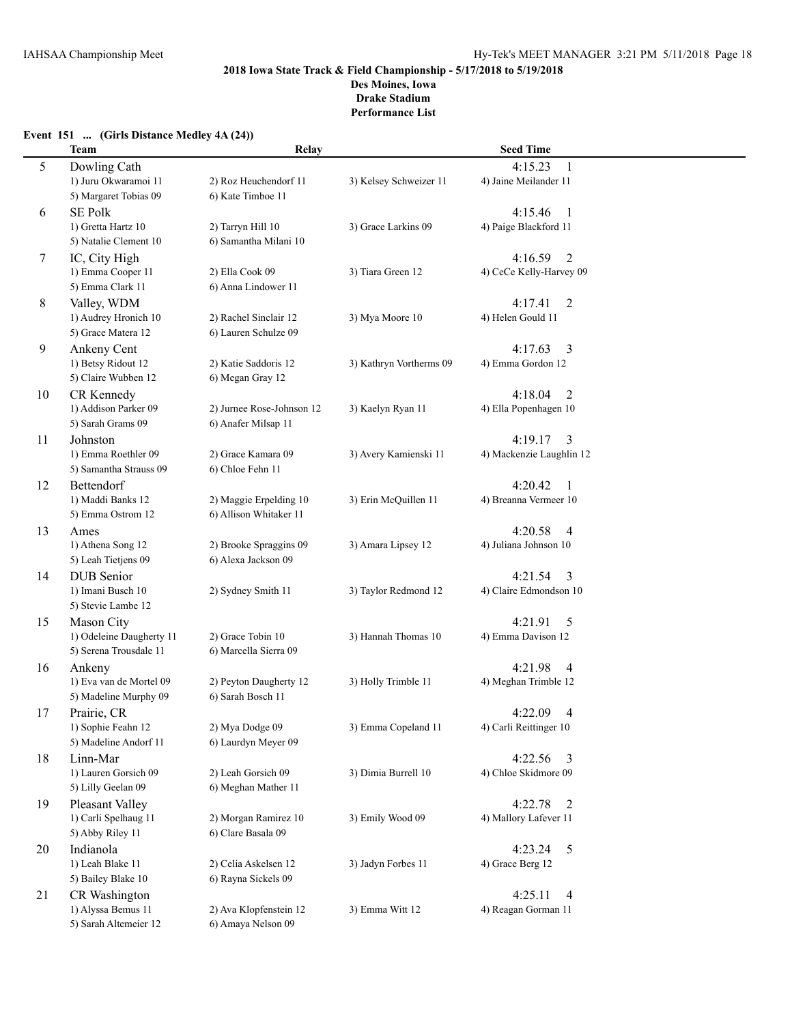# **2018 Iowa State Track & Field Championship - 5/17/2018 to 5/19/2018 Des Moines, Iowa**

**Drake Stadium**

|  | Event 151  (Girls Distance Medley 4A (24)) |  |  |
|--|--------------------------------------------|--|--|
|--|--------------------------------------------|--|--|

|    | <b>Team</b>                                        | Relay                                            |                         | <b>Seed Time</b>                                 |  |  |
|----|----------------------------------------------------|--------------------------------------------------|-------------------------|--------------------------------------------------|--|--|
| 5  | Dowling Cath<br>1) Juru Okwaramoi 11               | 2) Roz Heuchendorf 11                            | 3) Kelsey Schweizer 11  | 4:15.23<br>1<br>4) Jaine Meilander 11            |  |  |
|    | 5) Margaret Tobias 09                              | 6) Kate Timboe 11                                |                         |                                                  |  |  |
| 6  | <b>SE Polk</b>                                     |                                                  |                         | 4:15.46<br>-1                                    |  |  |
|    | 1) Gretta Hartz 10<br>5) Natalie Clement 10        | 2) Tarryn Hill 10<br>6) Samantha Milani 10       | 3) Grace Larkins 09     | 4) Paige Blackford 11                            |  |  |
| 7  | IC, City High                                      |                                                  |                         | $\overline{2}$<br>4:16.59                        |  |  |
|    | 1) Emma Cooper 11<br>5) Emma Clark 11              | 2) Ella Cook 09<br>6) Anna Lindower 11           | 3) Tiara Green 12       | 4) CeCe Kelly-Harvey 09                          |  |  |
| 8  | Valley, WDM                                        |                                                  |                         | 4:17.41<br>$\overline{2}$                        |  |  |
|    | 1) Audrey Hronich 10<br>5) Grace Matera 12         | 2) Rachel Sinclair 12<br>6) Lauren Schulze 09    | 3) Mya Moore 10         | 4) Helen Gould 11                                |  |  |
| 9  | Ankeny Cent                                        |                                                  |                         | 4:17.63<br>3                                     |  |  |
|    | 1) Betsy Ridout 12<br>5) Claire Wubben 12          | 2) Katie Saddoris 12<br>6) Megan Gray 12         | 3) Kathryn Vortherms 09 | 4) Emma Gordon 12                                |  |  |
| 10 | CR Kennedy                                         |                                                  |                         | 4:18.04<br>2                                     |  |  |
|    | 1) Addison Parker 09<br>5) Sarah Grams 09          | 2) Jurnee Rose-Johnson 12<br>6) Anafer Milsap 11 | 3) Kaelyn Ryan 11       | 4) Ella Popenhagen 10                            |  |  |
| 11 | Johnston                                           |                                                  |                         | 4:19.17<br>3                                     |  |  |
|    | 1) Emma Roethler 09<br>5) Samantha Strauss 09      | 2) Grace Kamara 09<br>6) Chloe Fehn 11           | 3) Avery Kamienski 11   | 4) Mackenzie Laughlin 12                         |  |  |
| 12 | Bettendorf                                         |                                                  |                         | 4:20.42<br>1                                     |  |  |
|    | 1) Maddi Banks 12<br>5) Emma Ostrom 12             | 2) Maggie Erpelding 10<br>6) Allison Whitaker 11 | 3) Erin McQuillen 11    | 4) Breanna Vermeer 10                            |  |  |
| 13 | Ames                                               |                                                  |                         | 4:20.58<br>$\overline{4}$                        |  |  |
|    | 1) Athena Song 12<br>5) Leah Tietjens 09           | 2) Brooke Spraggins 09<br>6) Alexa Jackson 09    | 3) Amara Lipsey 12      | 4) Juliana Johnson 10                            |  |  |
| 14 | <b>DUB</b> Senior                                  |                                                  |                         | 4:21.54<br>3                                     |  |  |
|    | 1) Imani Busch 10<br>5) Stevie Lambe 12            | 2) Sydney Smith 11                               | 3) Taylor Redmond 12    | 4) Claire Edmondson 10                           |  |  |
| 15 | Mason City                                         |                                                  |                         | 4:21.91<br>5                                     |  |  |
|    | 1) Odeleine Daugherty 11<br>5) Serena Trousdale 11 | 2) Grace Tobin 10<br>6) Marcella Sierra 09       | 3) Hannah Thomas 10     | 4) Emma Davison 12                               |  |  |
| 16 | Ankeny                                             |                                                  |                         | 4:21.98<br>$\overline{4}$                        |  |  |
|    | 1) Eva van de Mortel 09<br>5) Madeline Murphy 09   | 2) Peyton Daugherty 12<br>6) Sarah Bosch 11      | 3) Holly Trimble 11     | 4) Meghan Trimble 12                             |  |  |
| 17 | Prairie, CR                                        |                                                  |                         | 4:22.09<br>4                                     |  |  |
|    | 1) Sophie Feahn 12                                 | 2) Mya Dodge 09                                  | 3) Emma Copeland 11     | 4) Carli Reittinger 10                           |  |  |
|    | 5) Madeline Andorf 11                              | 6) Laurdyn Meyer 09                              |                         |                                                  |  |  |
| 18 | Linn-Mar                                           |                                                  |                         | 4:22.56<br>$\overline{3}$                        |  |  |
|    | 1) Lauren Gorsich 09<br>5) Lilly Geelan 09         | 2) Leah Gorsich 09<br>6) Meghan Mather 11        | 3) Dimia Burrell 10     | 4) Chloe Skidmore 09                             |  |  |
| 19 | Pleasant Valley                                    |                                                  |                         | 4:22.78<br>2                                     |  |  |
|    | 1) Carli Spelhaug 11<br>5) Abby Riley 11           | 2) Morgan Ramirez 10<br>6) Clare Basala 09       | 3) Emily Wood 09        | 4) Mallory Lafever 11                            |  |  |
| 20 | Indianola                                          |                                                  |                         | 4:23.24<br>5                                     |  |  |
|    | 1) Leah Blake 11                                   | 2) Celia Askelsen 12                             | 3) Jadyn Forbes 11      | 4) Grace Berg 12                                 |  |  |
|    | 5) Bailey Blake 10                                 | 6) Rayna Sickels 09                              |                         |                                                  |  |  |
| 21 | CR Washington<br>1) Alyssa Bemus 11                | 2) Ava Klopfenstein 12                           | 3) Emma Witt 12         | 4:25.11<br>$\overline{4}$<br>4) Reagan Gorman 11 |  |  |
|    | 5) Sarah Altemeier 12                              | 6) Amaya Nelson 09                               |                         |                                                  |  |  |